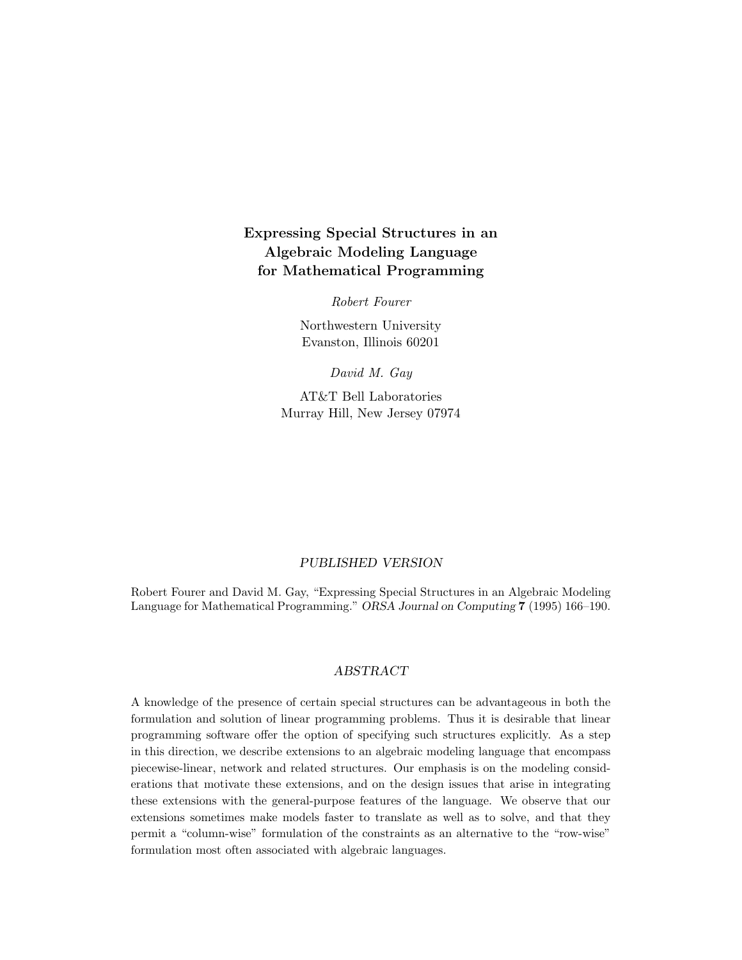# **Expressing Special Structures in an Algebraic Modeling Language for Mathematical Programming**

Robert Fourer

Northwestern University Evanston, Illinois 60201

David M. Gay

AT&T Bell Laboratories Murray Hill, New Jersey 07974

### *PUBLISHED VERSION*

Robert Fourer and David M. Gay, "Expressing Special Structures in an Algebraic Modeling Language for Mathematical Programming." *ORSA Journal on Computing* **7** (1995) 166–190.

# *ABSTRACT*

A knowledge of the presence of certain special structures can be advantageous in both the formulation and solution of linear programming problems. Thus it is desirable that linear programming software offer the option of specifying such structures explicitly. As a step in this direction, we describe extensions to an algebraic modeling language that encompass piecewise-linear, network and related structures. Our emphasis is on the modeling considerations that motivate these extensions, and on the design issues that arise in integrating these extensions with the general-purpose features of the language. We observe that our extensions sometimes make models faster to translate as well as to solve, and that they permit a "column-wise" formulation of the constraints as an alternative to the "row-wise" formulation most often associated with algebraic languages.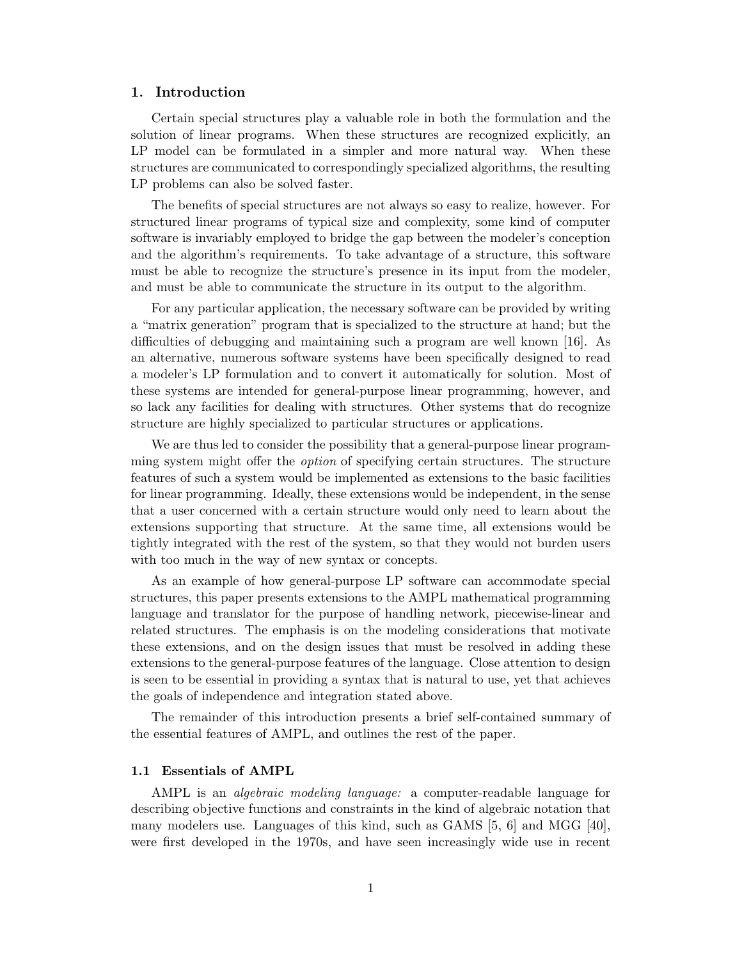# **1. Introduction**

Certain special structures play a valuable role in both the formulation and the solution of linear programs. When these structures are recognized explicitly, an LP model can be formulated in a simpler and more natural way. When these structures are communicated to correspondingly specialized algorithms, the resulting LP problems can also be solved faster.

The benefits of special structures are not always so easy to realize, however. For structured linear programs of typical size and complexity, some kind of computer software is invariably employed to bridge the gap between the modeler's conception and the algorithm's requirements. To take advantage of a structure, this software must be able to recognize the structure's presence in its input from the modeler, and must be able to communicate the structure in its output to the algorithm.

For any particular application, the necessary software can be provided by writing a "matrix generation" program that is specialized to the structure at hand; but the difficulties of debugging and maintaining such a program are well known [16]. As an alternative, numerous software systems have been specifically designed to read a modeler's LP formulation and to convert it automatically for solution. Most of these systems are intended for general-purpose linear programming, however, and so lack any facilities for dealing with structures. Other systems that do recognize structure are highly specialized to particular structures or applications.

We are thus led to consider the possibility that a general-purpose linear programming system might offer the option of specifying certain structures. The structure features of such a system would be implemented as extensions to the basic facilities for linear programming. Ideally, these extensions would be independent, in the sense that a user concerned with a certain structure would only need to learn about the extensions supporting that structure. At the same time, all extensions would be tightly integrated with the rest of the system, so that they would not burden users with too much in the way of new syntax or concepts.

As an example of how general-purpose LP software can accommodate special structures, this paper presents extensions to the AMPL mathematical programming language and translator for the purpose of handling network, piecewise-linear and related structures. The emphasis is on the modeling considerations that motivate these extensions, and on the design issues that must be resolved in adding these extensions to the general-purpose features of the language. Close attention to design is seen to be essential in providing a syntax that is natural to use, yet that achieves the goals of independence and integration stated above.

The remainder of this introduction presents a brief self-contained summary of the essential features of AMPL, and outlines the rest of the paper.

### **1.1 Essentials of AMPL**

AMPL is an *algebraic modeling language:* a computer-readable language for describing objective functions and constraints in the kind of algebraic notation that many modelers use. Languages of this kind, such as GAMS [5, 6] and MGG [40], were first developed in the 1970s, and have seen increasingly wide use in recent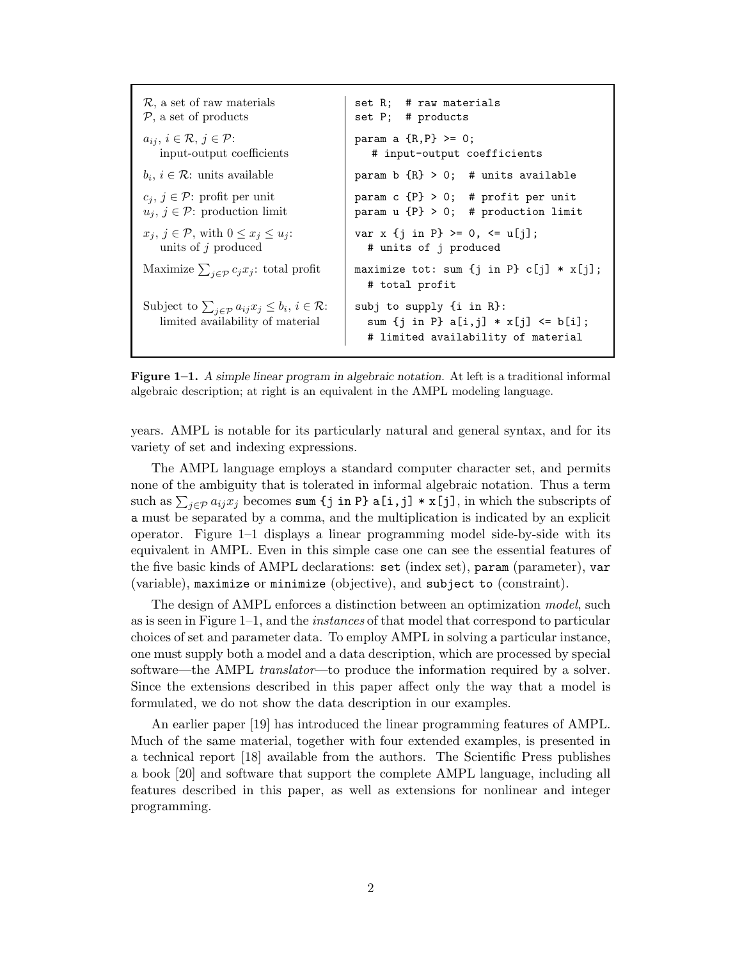$\mathcal{R}$ , a set of raw materials set R; # raw materials  $\mathcal{P}$ , a set of products set P; # products set  $P$ ; # products  $a_{ij}, i \in \mathcal{R}, j \in \mathcal{P}$ :<br>
input-output coefficients<br>  $\qquad \qquad \qquad \qquad \text{param a } \{R, P\} \geq 0;$ <br>  $\qquad \qquad \text{input-output coefficients}$ # input-output coefficients  $b_i, i \in \mathcal{R}$ : units available param b  $\{R\} > 0$ ; # units available  $c_j, j \in \mathcal{P}$ : profit per unit param c {P} > 0; # profit per unit  $u_j, j \in \mathcal{P}$ : production limit param u {P} > 0; # production limit *u<sup>j</sup>* , *j* ∈ P: production limit param u {P} > 0; # production limit  $x_j, j \in \mathcal{P}$ , with  $0 \le x_j \le u_j$ : var x {j in P} >= 0, <= u[j]; units of *j* produced  $\qquad \qquad \mid \qquad \text{# units of } j \text{ produced}$ Maximize  $\sum_{i \in \mathcal{P}} c_i x_i$ : total profit  $maximize tot: sum {j in P} c[j] * x[j];$ # total profit Subject to  $\sum_{j \in \mathcal{P}} a_{ij} x_j \leq b_i, i \in \mathcal{R}$ : *b*ject to  $\sum_{j \in \mathcal{P}} a_{ij} x_j \leq b_i, i \in \mathcal{R}$ : subj to supply {i in R}:<br>limited availability of material sum {j in P} a[i,j] \* sum  $\{j \in P\}$  a $[i,j] * x[j]$   $\leq b[i];$ # limited availability of material

**Figure 1–1.** *A simple linear program in algebraic notation.* At left is a traditional informal algebraic description; at right is an equivalent in the AMPL modeling language.

years. AMPL is notable for its particularly natural and general syntax, and for its variety of set and indexing expressions.

The AMPL language employs a standard computer character set, and permits none of the ambiguity that is tolerated in informal algebraic notation. Thus a term such as  $\sum_{j\in\mathcal{P}} a_{ij}x_j$  becomes sum {j in P} a[i,j] \* x[j], in which the subscripts of a must be separated by a comma, and the multiplication is indicated by an explicit operator. Figure 1–1 displays a linear programming model side-by-side with its equivalent in AMPL. Even in this simple case one can see the essential features of the five basic kinds of AMPL declarations: set (index set), param (parameter), var (variable), maximize or minimize (objective), and subject to (constraint).

The design of AMPL enforces a distinction between an optimization model, such as is seen in Figure 1–1, and the instances of that model that correspond to particular choices of set and parameter data. To employ AMPL in solving a particular instance, one must supply both a model and a data description, which are processed by special software—the AMPL *translator*—to produce the information required by a solver. Since the extensions described in this paper affect only the way that a model is formulated, we do not show the data description in our examples.

An earlier paper [19] has introduced the linear programming features of AMPL. Much of the same material, together with four extended examples, is presented in a technical report [18] available from the authors. The Scientific Press publishes a book [20] and software that support the complete AMPL language, including all features described in this paper, as well as extensions for nonlinear and integer programming.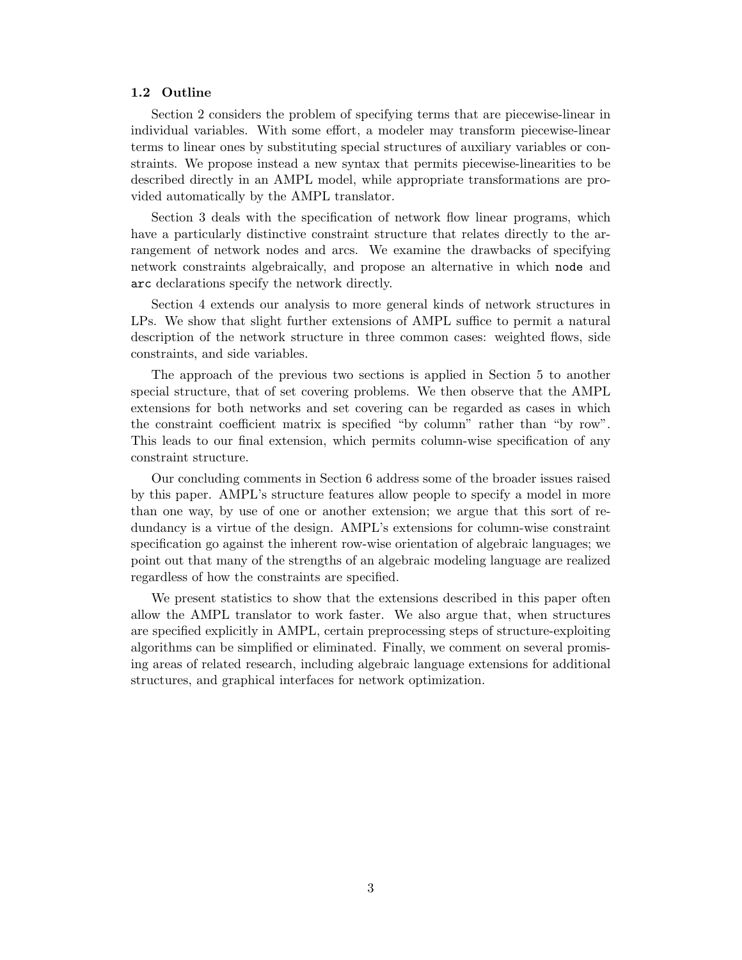# **1.2 Outline**

Section 2 considers the problem of specifying terms that are piecewise-linear in individual variables. With some effort, a modeler may transform piecewise-linear terms to linear ones by substituting special structures of auxiliary variables or constraints. We propose instead a new syntax that permits piecewise-linearities to be described directly in an AMPL model, while appropriate transformations are provided automatically by the AMPL translator.

Section 3 deals with the specification of network flow linear programs, which have a particularly distinctive constraint structure that relates directly to the arrangement of network nodes and arcs. We examine the drawbacks of specifying network constraints algebraically, and propose an alternative in which node and arc declarations specify the network directly.

Section 4 extends our analysis to more general kinds of network structures in LPs. We show that slight further extensions of AMPL suffice to permit a natural description of the network structure in three common cases: weighted flows, side constraints, and side variables.

The approach of the previous two sections is applied in Section 5 to another special structure, that of set covering problems. We then observe that the AMPL extensions for both networks and set covering can be regarded as cases in which the constraint coefficient matrix is specified "by column" rather than "by row". This leads to our final extension, which permits column-wise specification of any constraint structure.

Our concluding comments in Section 6 address some of the broader issues raised by this paper. AMPL's structure features allow people to specify a model in more than one way, by use of one or another extension; we argue that this sort of redundancy is a virtue of the design. AMPL's extensions for column-wise constraint specification go against the inherent row-wise orientation of algebraic languages; we point out that many of the strengths of an algebraic modeling language are realized regardless of how the constraints are specified.

We present statistics to show that the extensions described in this paper often allow the AMPL translator to work faster. We also argue that, when structures are specified explicitly in AMPL, certain preprocessing steps of structure-exploiting algorithms can be simplified or eliminated. Finally, we comment on several promising areas of related research, including algebraic language extensions for additional structures, and graphical interfaces for network optimization.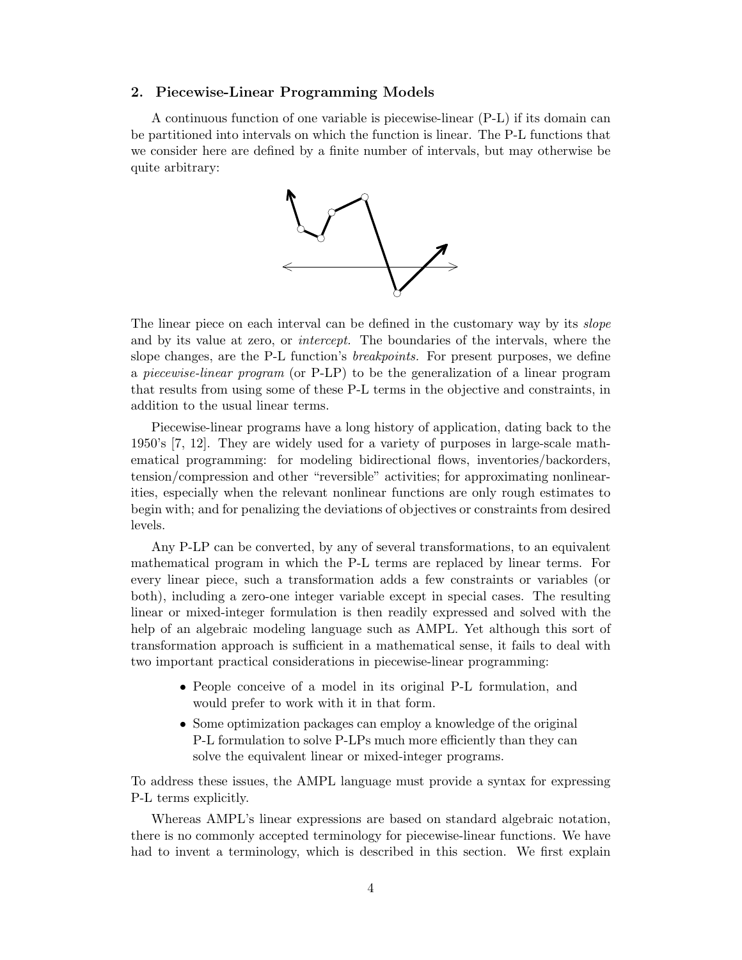# **2. Piecewise-Linear Programming Models**

A continuous function of one variable is piecewise-linear (P-L) if its domain can be partitioned into intervals on which the function is linear. The P-L functions that we consider here are defined by a finite number of intervals, but may otherwise be quite arbitrary:



The linear piece on each interval can be defined in the customary way by its *slope* and by its value at zero, or *intercept*. The boundaries of the intervals, where the slope changes, are the P-L function's breakpoints. For present purposes, we define a piecewise-linear program (or P-LP) to be the generalization of a linear program that results from using some of these P-L terms in the objective and constraints, in addition to the usual linear terms.

Piecewise-linear programs have a long history of application, dating back to the 1950's [7, 12]. They are widely used for a variety of purposes in large-scale mathematical programming: for modeling bidirectional flows, inventories/backorders, tension/compression and other "reversible" activities; for approximating nonlinearities, especially when the relevant nonlinear functions are only rough estimates to begin with; and for penalizing the deviations of objectives or constraints from desired levels.

Any P-LP can be converted, by any of several transformations, to an equivalent mathematical program in which the P-L terms are replaced by linear terms. For every linear piece, such a transformation adds a few constraints or variables (or both), including a zero-one integer variable except in special cases. The resulting linear or mixed-integer formulation is then readily expressed and solved with the help of an algebraic modeling language such as AMPL. Yet although this sort of transformation approach is sufficient in a mathematical sense, it fails to deal with two important practical considerations in piecewise-linear programming:

- People conceive of a model in its original P-L formulation, and would prefer to work with it in that form.
- Some optimization packages can employ a knowledge of the original P-L formulation to solve P-LPs much more efficiently than they can solve the equivalent linear or mixed-integer programs.

To address these issues, the AMPL language must provide a syntax for expressing P-L terms explicitly.

Whereas AMPL's linear expressions are based on standard algebraic notation, there is no commonly accepted terminology for piecewise-linear functions. We have had to invent a terminology, which is described in this section. We first explain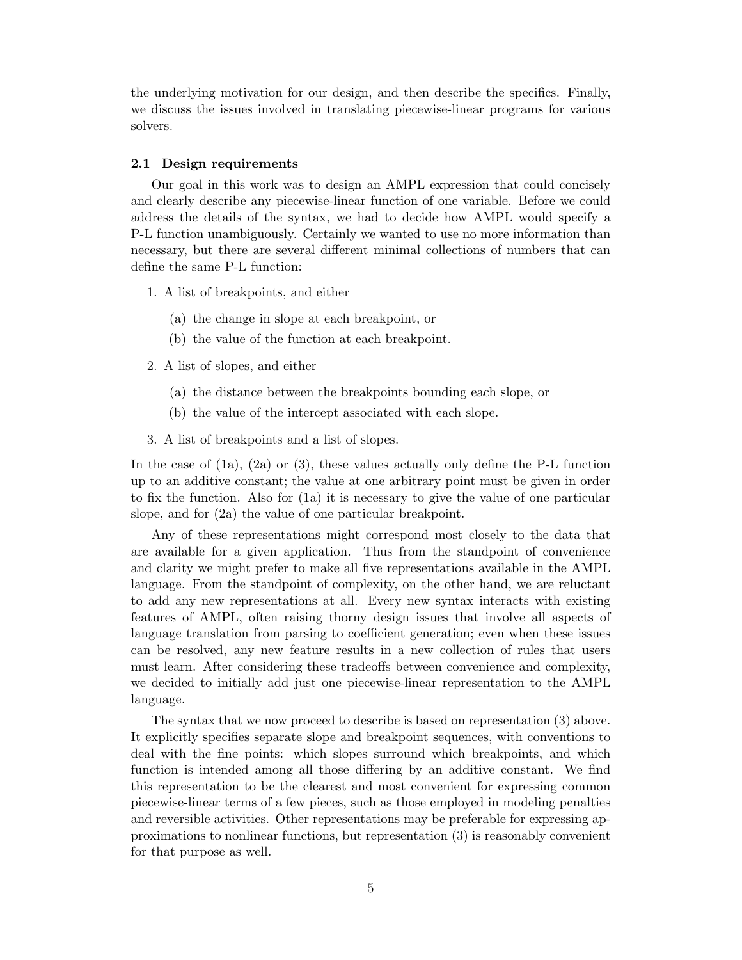the underlying motivation for our design, and then describe the specifics. Finally, we discuss the issues involved in translating piecewise-linear programs for various solvers.

### **2.1 Design requirements**

Our goal in this work was to design an AMPL expression that could concisely and clearly describe any piecewise-linear function of one variable. Before we could address the details of the syntax, we had to decide how AMPL would specify a P-L function unambiguously. Certainly we wanted to use no more information than necessary, but there are several different minimal collections of numbers that can define the same P-L function:

- 1. A list of breakpoints, and either
	- (a) the change in slope at each breakpoint, or
	- (b) the value of the function at each breakpoint.
- 2. A list of slopes, and either
	- (a) the distance between the breakpoints bounding each slope, or
	- (b) the value of the intercept associated with each slope.
- 3. A list of breakpoints and a list of slopes.

In the case of (1a), (2a) or (3), these values actually only define the P-L function up to an additive constant; the value at one arbitrary point must be given in order to fix the function. Also for (1a) it is necessary to give the value of one particular slope, and for (2a) the value of one particular breakpoint.

Any of these representations might correspond most closely to the data that are available for a given application. Thus from the standpoint of convenience and clarity we might prefer to make all five representations available in the AMPL language. From the standpoint of complexity, on the other hand, we are reluctant to add any new representations at all. Every new syntax interacts with existing features of AMPL, often raising thorny design issues that involve all aspects of language translation from parsing to coefficient generation; even when these issues can be resolved, any new feature results in a new collection of rules that users must learn. After considering these tradeoffs between convenience and complexity, we decided to initially add just one piecewise-linear representation to the AMPL language.

The syntax that we now proceed to describe is based on representation (3) above. It explicitly specifies separate slope and breakpoint sequences, with conventions to deal with the fine points: which slopes surround which breakpoints, and which function is intended among all those differing by an additive constant. We find this representation to be the clearest and most convenient for expressing common piecewise-linear terms of a few pieces, such as those employed in modeling penalties and reversible activities. Other representations may be preferable for expressing approximations to nonlinear functions, but representation (3) is reasonably convenient for that purpose as well.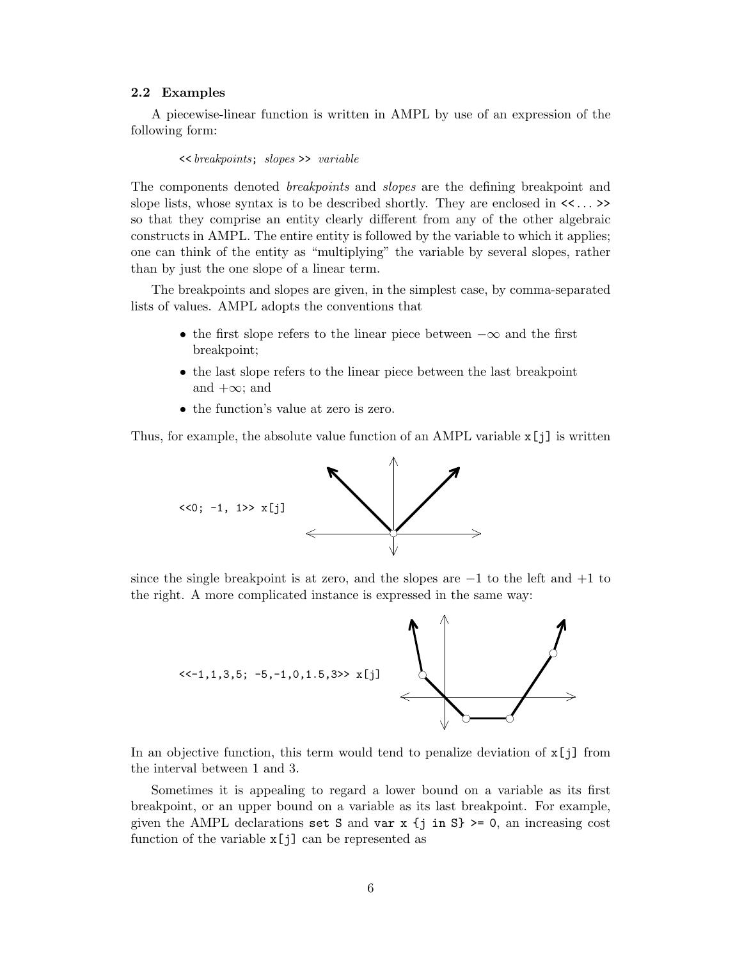# **2.2 Examples**

A piecewise-linear function is written in AMPL by use of an expression of the following form:

<< breakpoints; slopes >> variable

The components denoted breakpoints and slopes are the defining breakpoint and slope lists, whose syntax is to be described shortly. They are enclosed in << ... >> so that they comprise an entity clearly different from any of the other algebraic constructs in AMPL. The entire entity is followed by the variable to which it applies; one can think of the entity as "multiplying" the variable by several slopes, rather than by just the one slope of a linear term.

The breakpoints and slopes are given, in the simplest case, by comma-separated lists of values. AMPL adopts the conventions that

- the first slope refers to the linear piece between  $-\infty$  and the first breakpoint;
- the last slope refers to the linear piece between the last breakpoint and  $+\infty$ ; and
- the function's value at zero is zero.

Thus, for example, the absolute value function of an AMPL variable x[j] is written



since the single breakpoint is at zero, and the slopes are  $-1$  to the left and  $+1$  to the right. A more complicated instance is expressed in the same way:



In an objective function, this term would tend to penalize deviation of  $x[j]$  from the interval between 1 and 3.

Sometimes it is appealing to regard a lower bound on a variable as its first breakpoint, or an upper bound on a variable as its last breakpoint. For example, given the AMPL declarations set S and var x  $\{j \in S\}$  >= 0, an increasing cost function of the variable  $x[j]$  can be represented as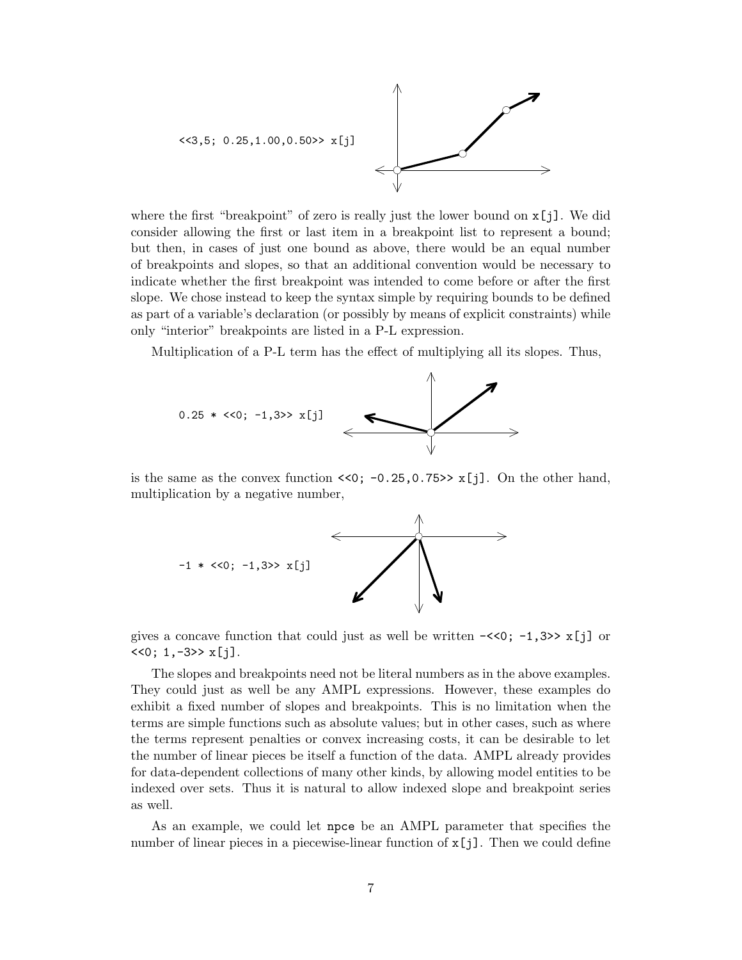

where the first "breakpoint" of zero is really just the lower bound on  $\mathbf{x}[i]$ . We did consider allowing the first or last item in a breakpoint list to represent a bound; but then, in cases of just one bound as above, there would be an equal number of breakpoints and slopes, so that an additional convention would be necessary to indicate whether the first breakpoint was intended to come before or after the first slope. We chose instead to keep the syntax simple by requiring bounds to be defined as part of a variable's declaration (or possibly by means of explicit constraints) while only "interior" breakpoints are listed in a P-L expression.

Multiplication of a P-L term has the effect of multiplying all its slopes. Thus,



is the same as the convex function  $\langle 0; -0.25, 0.75 \rangle$  x[j]. On the other hand, multiplication by a negative number,



gives a concave function that could just as well be written  $-\langle 0; -1, 3 \rangle \times [1]$  or  $<<0$ ; 1, -3>>  $x[j]$ .

The slopes and breakpoints need not be literal numbers as in the above examples. They could just as well be any AMPL expressions. However, these examples do exhibit a fixed number of slopes and breakpoints. This is no limitation when the terms are simple functions such as absolute values; but in other cases, such as where the terms represent penalties or convex increasing costs, it can be desirable to let the number of linear pieces be itself a function of the data. AMPL already provides for data-dependent collections of many other kinds, by allowing model entities to be indexed over sets. Thus it is natural to allow indexed slope and breakpoint series as well.

As an example, we could let npce be an AMPL parameter that specifies the number of linear pieces in a piecewise-linear function of  $x[j]$ . Then we could define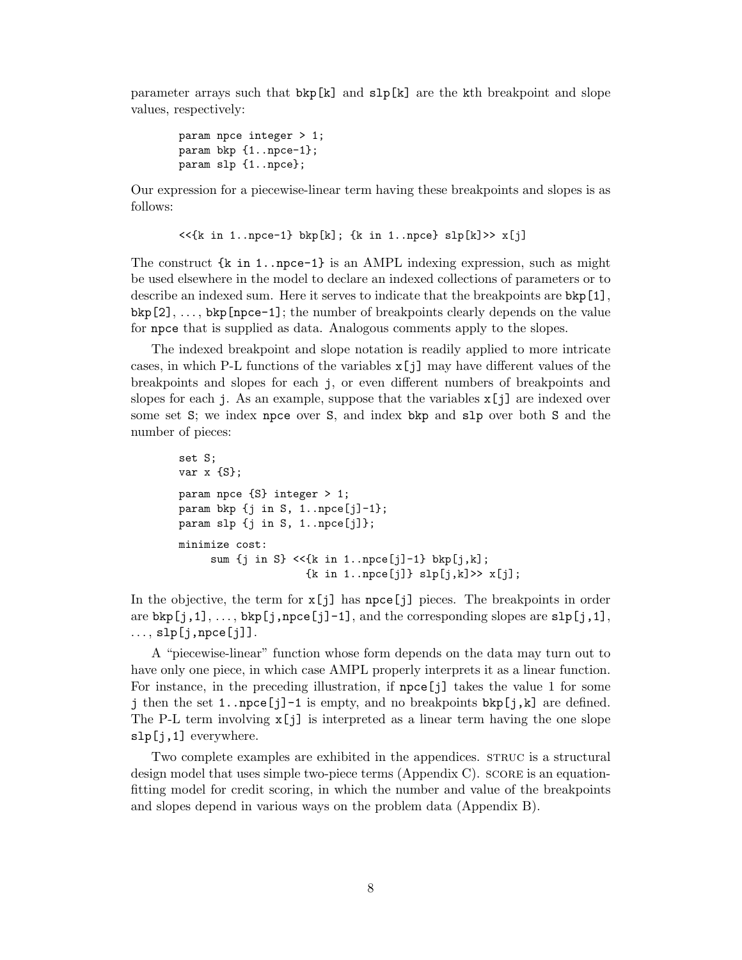parameter arrays such that  $bkp[k]$  and  $slp[k]$  are the kth breakpoint and slope values, respectively:

```
param npce integer > 1;
param bkp {1..npce-1};
param slp {1..npce};
```
Our expression for a piecewise-linear term having these breakpoints and slopes is as follows:

```
\lt\lt\{k \text{ in } 1..\text{npce-1}\} bkp[k]; \{k \text{ in } 1..\text{npce}\} slp[k]>> x[j]
```
The construct  $\{k \text{ in } 1..\text{ }n \text{,} k=1\}$  is an AMPL indexing expression, such as might be used elsewhere in the model to declare an indexed collections of parameters or to describe an indexed sum. Here it serves to indicate that the breakpoints are bkp[1],  $bkp[2], \ldots, bkp[npec-1];$  the number of breakpoints clearly depends on the value for npce that is supplied as data. Analogous comments apply to the slopes.

The indexed breakpoint and slope notation is readily applied to more intricate cases, in which P-L functions of the variables  $x[j]$  may have different values of the breakpoints and slopes for each j, or even different numbers of breakpoints and slopes for each j. As an example, suppose that the variables  $\mathbf{x}[i]$  are indexed over some set S; we index npce over S, and index bkp and slp over both S and the number of pieces:

```
set S;
var x {S};
param npce {S} integer > 1;
param bkp \{j \text{ in } S, 1 \ldots \text{ }[j-1]\};
param slp \{j \in S, 1..npce[j]\};minimize cost:
     sum \{j \in S\} <<\{k \in I \ldots npce[j]-1\} bkp[j,k];
                       {k in 1.npe[j]} slp[j,k] >> x[j];
```
In the objective, the term for  $x[j]$  has npce[j] pieces. The breakpoints in order are  $bkp[j,1],\ldots,bkp[j,npce[j]-1]$ , and the corresponding slopes are  $slp[j,1],$  $...,$  slp $[j,$ npce $[j]$ ].

A "piecewise-linear" function whose form depends on the data may turn out to have only one piece, in which case AMPL properly interprets it as a linear function. For instance, in the preceding illustration, if npce[j] takes the value 1 for some j then the set 1..npce [j]-1 is empty, and no breakpoints  $\text{bkp}[j,k]$  are defined. The P-L term involving  $x[j]$  is interpreted as a linear term having the one slope slp[j,1] everywhere.

Two complete examples are exhibited in the appendices. STRUC is a structural design model that uses simple two-piece terms (Appendix C). SCORE is an equationfitting model for credit scoring, in which the number and value of the breakpoints and slopes depend in various ways on the problem data (Appendix B).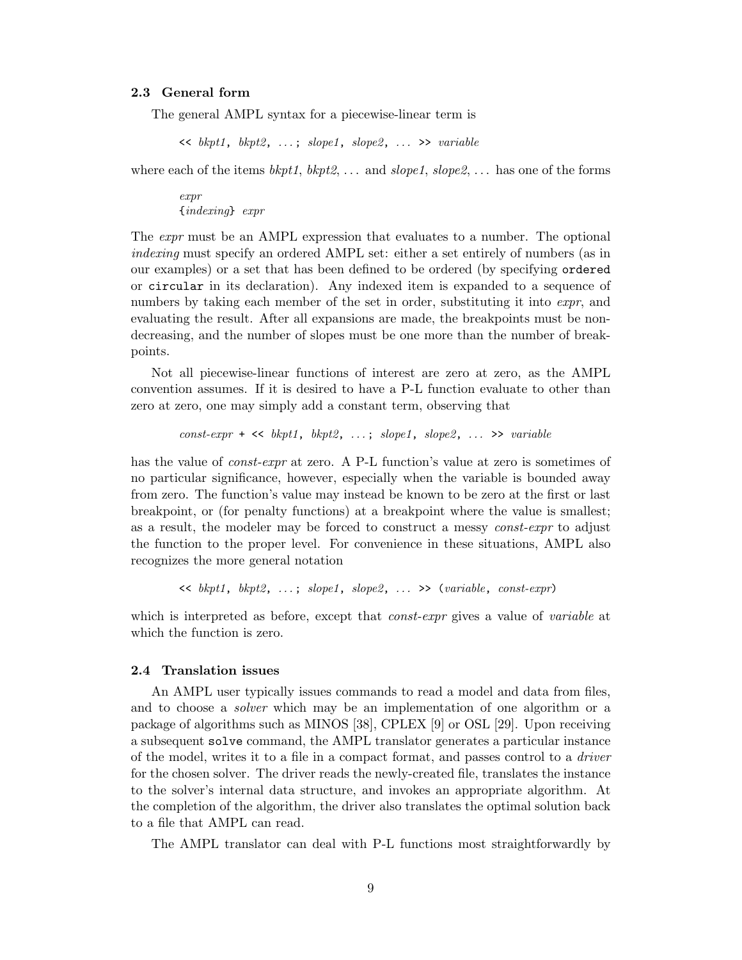# **2.3 General form**

The general AMPL syntax for a piecewise-linear term is

 $\langle kpt1, bkt2, \ldots; slope1, slope2, \ldots \rangle$  variable

where each of the items  $bkpt1$ ,  $bkpt2$ , ... and  $slope2$ ,  $slope2$ , ... has one of the forms

expr {indexing} expr

The expr must be an AMPL expression that evaluates to a number. The optional indexing must specify an ordered AMPL set: either a set entirely of numbers (as in our examples) or a set that has been defined to be ordered (by specifying ordered or circular in its declaration). Any indexed item is expanded to a sequence of numbers by taking each member of the set in order, substituting it into *expr*, and evaluating the result. After all expansions are made, the breakpoints must be nondecreasing, and the number of slopes must be one more than the number of breakpoints.

Not all piecewise-linear functions of interest are zero at zero, as the AMPL convention assumes. If it is desired to have a P-L function evaluate to other than zero at zero, one may simply add a constant term, observing that

 $const\text{-}expr$  + <<  $bkpt1$ ,  $bkpt2$ , ...;  $slope1$ ,  $slope2$ , ... >>  $variable$ 

has the value of *const-expr* at zero. A P-L function's value at zero is sometimes of no particular significance, however, especially when the variable is bounded away from zero. The function's value may instead be known to be zero at the first or last breakpoint, or (for penalty functions) at a breakpoint where the value is smallest; as a result, the modeler may be forced to construct a messy const-expr to adjust the function to the proper level. For convenience in these situations, AMPL also recognizes the more general notation

 $\langle$  bkpt1, bkpt2, ...; slope1, slope2, ... >> (variable, const-expr)

which is interpreted as before, except that *const-expr* gives a value of *variable* at which the function is zero.

### **2.4 Translation issues**

An AMPL user typically issues commands to read a model and data from files, and to choose a solver which may be an implementation of one algorithm or a package of algorithms such as MINOS [38], CPLEX [9] or OSL [29]. Upon receiving a subsequent solve command, the AMPL translator generates a particular instance of the model, writes it to a file in a compact format, and passes control to a driver for the chosen solver. The driver reads the newly-created file, translates the instance to the solver's internal data structure, and invokes an appropriate algorithm. At the completion of the algorithm, the driver also translates the optimal solution back to a file that AMPL can read.

The AMPL translator can deal with P-L functions most straightforwardly by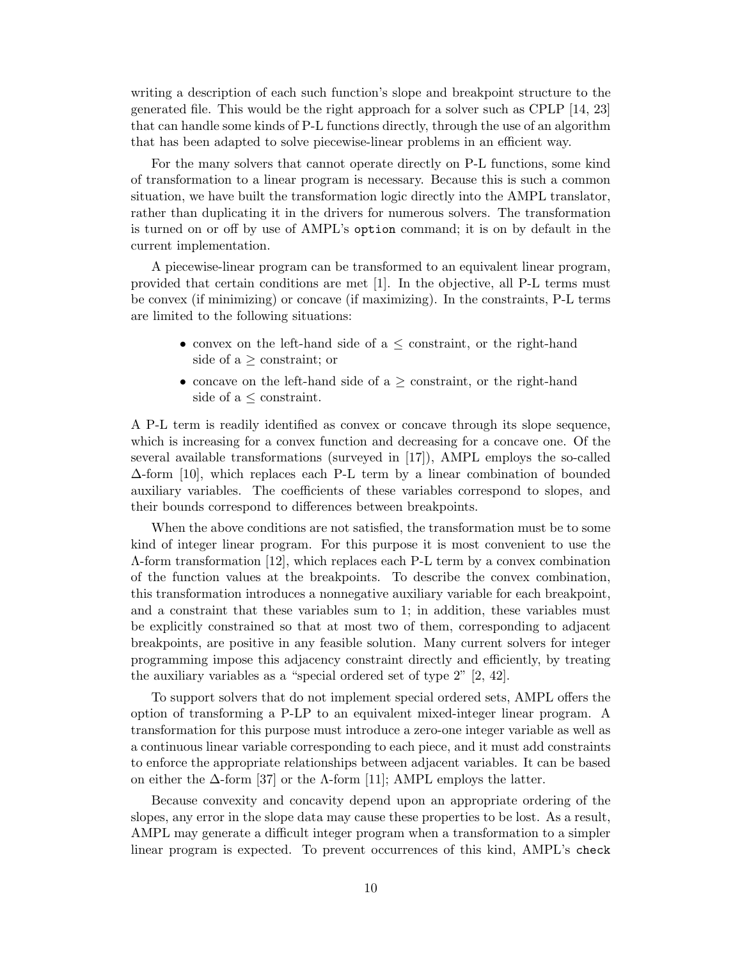writing a description of each such function's slope and breakpoint structure to the generated file. This would be the right approach for a solver such as CPLP [14, 23] that can handle some kinds of P-L functions directly, through the use of an algorithm that has been adapted to solve piecewise-linear problems in an efficient way.

For the many solvers that cannot operate directly on P-L functions, some kind of transformation to a linear program is necessary. Because this is such a common situation, we have built the transformation logic directly into the AMPL translator, rather than duplicating it in the drivers for numerous solvers. The transformation is turned on or off by use of AMPL's option command; it is on by default in the current implementation.

A piecewise-linear program can be transformed to an equivalent linear program, provided that certain conditions are met [1]. In the objective, all P-L terms must be convex (if minimizing) or concave (if maximizing). In the constraints, P-L terms are limited to the following situations:

- convex on the left-hand side of  $a \leq$  constraint, or the right-hand side of  $a \geq$  constraint; or
- concave on the left-hand side of  $a \geq$  constraint, or the right-hand side of  $a \leq$  constraint.

A P-L term is readily identified as convex or concave through its slope sequence, which is increasing for a convex function and decreasing for a concave one. Of the several available transformations (surveyed in [17]), AMPL employs the so-called ∆-form [10], which replaces each P-L term by a linear combination of bounded auxiliary variables. The coefficients of these variables correspond to slopes, and their bounds correspond to differences between breakpoints.

When the above conditions are not satisfied, the transformation must be to some kind of integer linear program. For this purpose it is most convenient to use the Λ-form transformation [12], which replaces each P-L term by a convex combination of the function values at the breakpoints. To describe the convex combination, this transformation introduces a nonnegative auxiliary variable for each breakpoint, and a constraint that these variables sum to 1; in addition, these variables must be explicitly constrained so that at most two of them, corresponding to adjacent breakpoints, are positive in any feasible solution. Many current solvers for integer programming impose this adjacency constraint directly and efficiently, by treating the auxiliary variables as a "special ordered set of type 2" [2, 42].

To support solvers that do not implement special ordered sets, AMPL offers the option of transforming a P-LP to an equivalent mixed-integer linear program. A transformation for this purpose must introduce a zero-one integer variable as well as a continuous linear variable corresponding to each piece, and it must add constraints to enforce the appropriate relationships between adjacent variables. It can be based on either the  $\Delta$ -form [37] or the  $\Lambda$ -form [11]; AMPL employs the latter.

Because convexity and concavity depend upon an appropriate ordering of the slopes, any error in the slope data may cause these properties to be lost. As a result, AMPL may generate a difficult integer program when a transformation to a simpler linear program is expected. To prevent occurrences of this kind, AMPL's check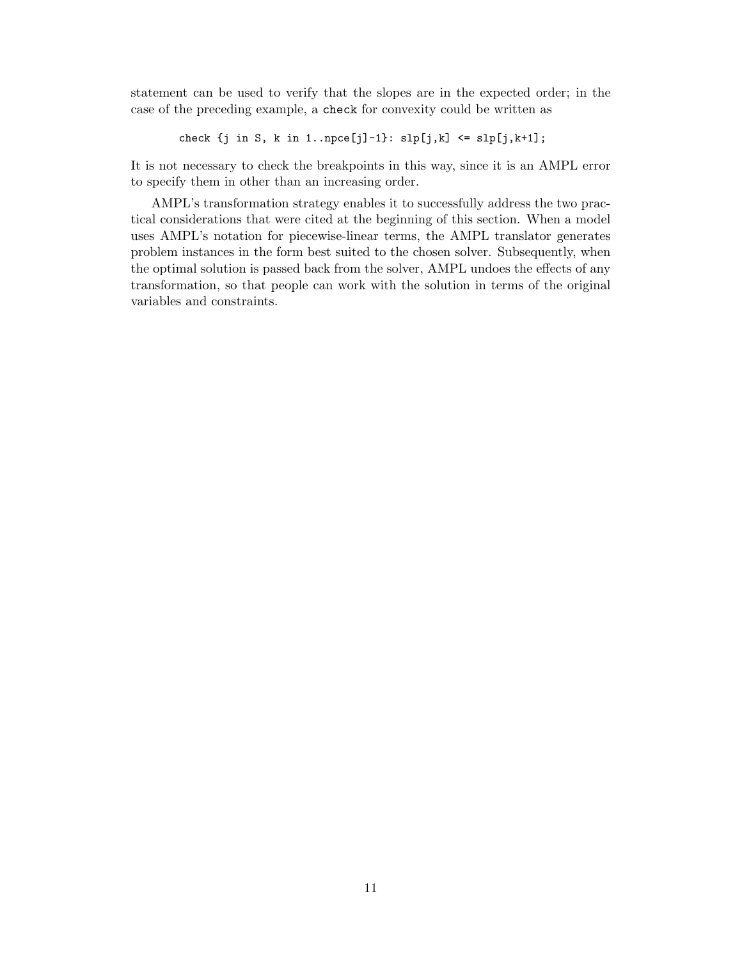statement can be used to verify that the slopes are in the expected order; in the case of the preceding example, a check for convexity could be written as

```
\texttt{check}~\{j~\texttt{in}~\texttt{S},~\texttt{k}~\texttt{in}~\texttt{1}...\texttt{pce[j]--1}\colon~\texttt{slp[j,k]}~\texttt{<=}~\texttt{slp[j,k+1]}\,;\\[1ex]
```
It is not necessary to check the breakpoints in this way, since it is an AMPL error to specify them in other than an increasing order.

AMPL's transformation strategy enables it to successfully address the two practical considerations that were cited at the beginning of this section. When a model uses AMPL's notation for piecewise-linear terms, the AMPL translator generates problem instances in the form best suited to the chosen solver. Subsequently, when the optimal solution is passed back from the solver, AMPL undoes the effects of any transformation, so that people can work with the solution in terms of the original variables and constraints.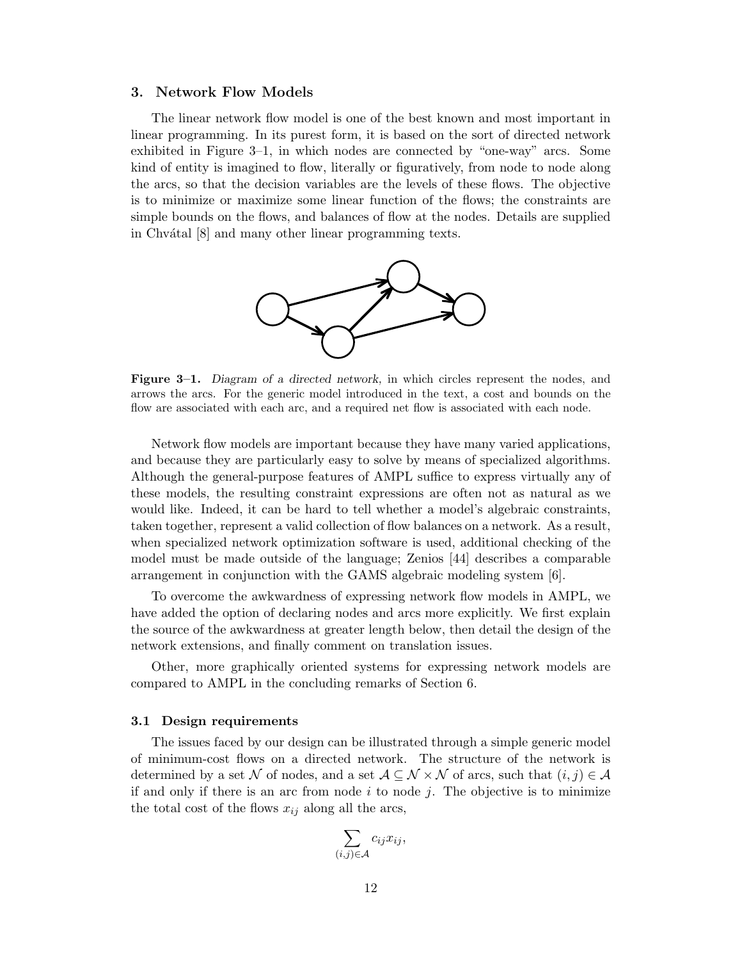### **3. Network Flow Models**

The linear network flow model is one of the best known and most important in linear programming. In its purest form, it is based on the sort of directed network exhibited in Figure 3–1, in which nodes are connected by "one-way" arcs. Some kind of entity is imagined to flow, literally or figuratively, from node to node along the arcs, so that the decision variables are the levels of these flows. The objective is to minimize or maximize some linear function of the flows; the constraints are simple bounds on the flows, and balances of flow at the nodes. Details are supplied in Chvátal [8] and many other linear programming texts.



**Figure 3–1.** *Diagram of a directed network,* in which circles represent the nodes, and arrows the arcs. For the generic model introduced in the text, a cost and bounds on the flow are associated with each arc, and a required net flow is associated with each node.

Network flow models are important because they have many varied applications, and because they are particularly easy to solve by means of specialized algorithms. Although the general-purpose features of AMPL suffice to express virtually any of these models, the resulting constraint expressions are often not as natural as we would like. Indeed, it can be hard to tell whether a model's algebraic constraints, taken together, represent a valid collection of flow balances on a network. As a result, when specialized network optimization software is used, additional checking of the model must be made outside of the language; Zenios [44] describes a comparable arrangement in conjunction with the GAMS algebraic modeling system [6].

To overcome the awkwardness of expressing network flow models in AMPL, we have added the option of declaring nodes and arcs more explicitly. We first explain the source of the awkwardness at greater length below, then detail the design of the network extensions, and finally comment on translation issues.

Other, more graphically oriented systems for expressing network models are compared to AMPL in the concluding remarks of Section 6.

#### **3.1 Design requirements**

The issues faced by our design can be illustrated through a simple generic model of minimum-cost flows on a directed network. The structure of the network is determined by a set N of nodes, and a set  $A\subseteq \mathcal{N}\times\mathcal{N}$  of arcs, such that  $(i, j) \in \mathcal{A}$ if and only if there is an arc from node *i* to node *j*. The objective is to minimize the total cost of the flows  $x_{ij}$  along all the arcs,

$$
\sum_{(i,j)\in\mathcal{A}}c_{ij}x_{ij},
$$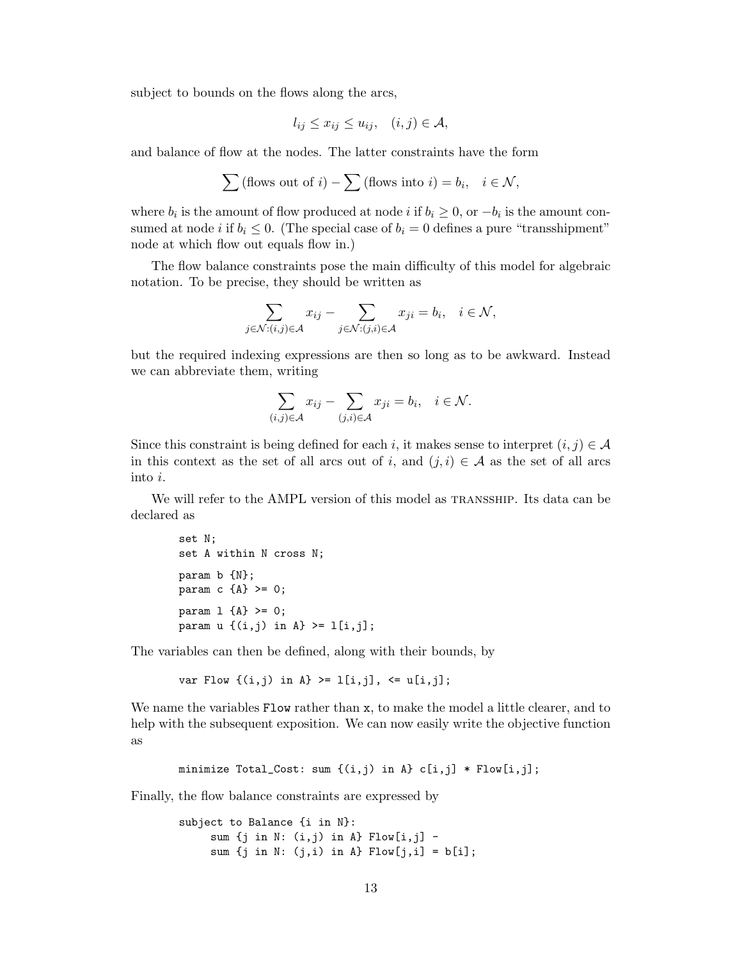subject to bounds on the flows along the arcs,

$$
l_{ij} \leq x_{ij} \leq u_{ij}, \quad (i,j) \in \mathcal{A},
$$

and balance of flow at the nodes. The latter constraints have the form

$$
\sum (\text{flows out of } i) - \sum (\text{flows into } i) = b_i, \quad i \in \mathcal{N},
$$

where  $b_i$  is the amount of flow produced at node *i* if  $b_i \geq 0$ , or  $-b_i$  is the amount consumed at node *i* if  $b_i \leq 0$ . (The special case of  $b_i = 0$  defines a pure "transshipment" node at which flow out equals flow in.)

The flow balance constraints pose the main difficulty of this model for algebraic notation. To be precise, they should be written as

$$
\sum_{j \in \mathcal{N}: (i,j) \in \mathcal{A}} x_{ij} - \sum_{j \in \mathcal{N}: (j,i) \in \mathcal{A}} x_{ji} = b_i, \quad i \in \mathcal{N},
$$

but the required indexing expressions are then so long as to be awkward. Instead we can abbreviate them, writing

$$
\sum_{(i,j)\in\mathcal{A}} x_{ij} - \sum_{(j,i)\in\mathcal{A}} x_{ji} = b_i, \quad i \in \mathcal{N}.
$$

Since this constraint is being defined for each *i*, it makes sense to interpret  $(i, j) \in A$ in this context as the set of all arcs out of *i*, and  $(j, i) \in A$  as the set of all arcs into *i*.

We will refer to the AMPL version of this model as TRANSSHIP. Its data can be declared as

```
set N;
set A within N cross N;
param b {N};
param c {A} >= 0;
param 1 {A} > = 0;param u \{ (i,j) \text{ in } A \} \geq 1[i,j];
```
The variables can then be defined, along with their bounds, by

var Flow  $\{(i,j)$  in  $A\}$  >=  $1[i,j]$ , <=  $u[i,j]$ ;

We name the variables Flow rather than x, to make the model a little clearer, and to help with the subsequent exposition. We can now easily write the objective function as

minimize Total\_Cost: sum  $\{(i,j)$  in A}  $c[i,j]$  \* Flow[i,j];

Finally, the flow balance constraints are expressed by

```
subject to Balance {i in N}:
     sum {j in N: (i,j) in A} Flow[i,j] -
     sum \{j \in N: (j,i) \in A\} Flow[j,i] = b[i];
```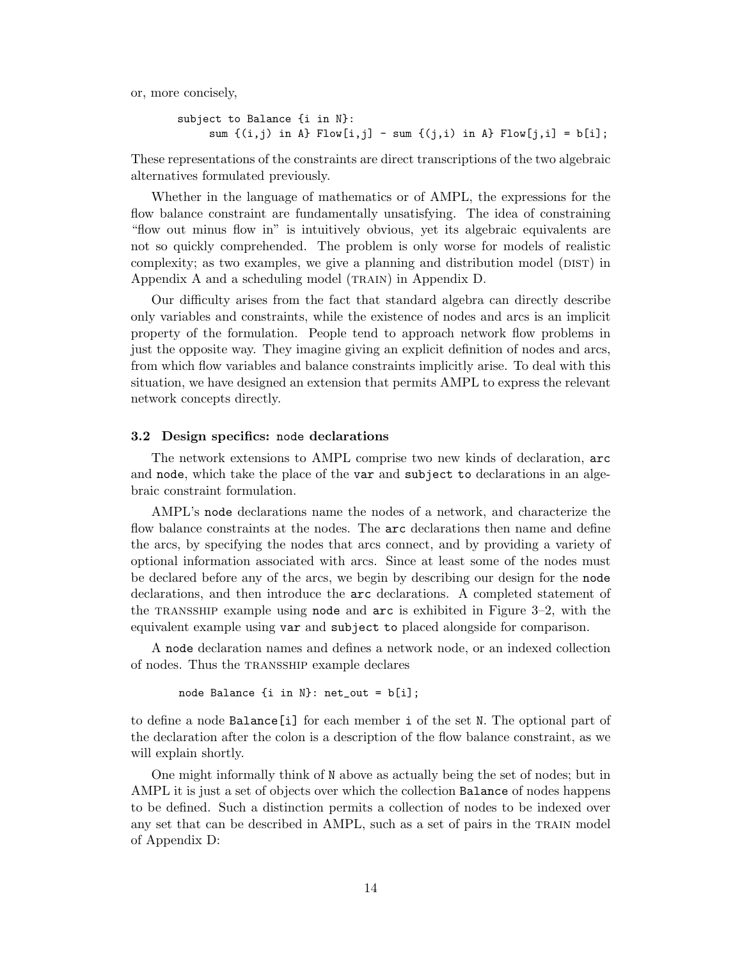or, more concisely,

```
subject to Balance {i in N}:
     sum \{(i,j) in A} Flow[i,j] - sum \{(j,i) in A} Flow[j,i] = b[i];
```
These representations of the constraints are direct transcriptions of the two algebraic alternatives formulated previously.

Whether in the language of mathematics or of AMPL, the expressions for the flow balance constraint are fundamentally unsatisfying. The idea of constraining "flow out minus flow in" is intuitively obvious, yet its algebraic equivalents are not so quickly comprehended. The problem is only worse for models of realistic complexity; as two examples, we give a planning and distribution model (DIST) in Appendix A and a scheduling model (TRAIN) in Appendix D.

Our difficulty arises from the fact that standard algebra can directly describe only variables and constraints, while the existence of nodes and arcs is an implicit property of the formulation. People tend to approach network flow problems in just the opposite way. They imagine giving an explicit definition of nodes and arcs, from which flow variables and balance constraints implicitly arise. To deal with this situation, we have designed an extension that permits AMPL to express the relevant network concepts directly.

#### **3.2 Design specifics:** node **declarations**

The network extensions to AMPL comprise two new kinds of declaration, arc and node, which take the place of the var and subject to declarations in an algebraic constraint formulation.

AMPL's node declarations name the nodes of a network, and characterize the flow balance constraints at the nodes. The arc declarations then name and define the arcs, by specifying the nodes that arcs connect, and by providing a variety of optional information associated with arcs. Since at least some of the nodes must be declared before any of the arcs, we begin by describing our design for the node declarations, and then introduce the arc declarations. A completed statement of the TRANSSHIP example using node and  $arc$  is exhibited in Figure 3–2, with the equivalent example using var and subject to placed alongside for comparison.

A node declaration names and defines a network node, or an indexed collection of nodes. Thus the transship example declares

node Balance {i in N}: net\_out = b[i];

to define a node Balance[i] for each member i of the set N. The optional part of the declaration after the colon is a description of the flow balance constraint, as we will explain shortly.

One might informally think of N above as actually being the set of nodes; but in AMPL it is just a set of objects over which the collection Balance of nodes happens to be defined. Such a distinction permits a collection of nodes to be indexed over any set that can be described in AMPL, such as a set of pairs in the train model of Appendix D: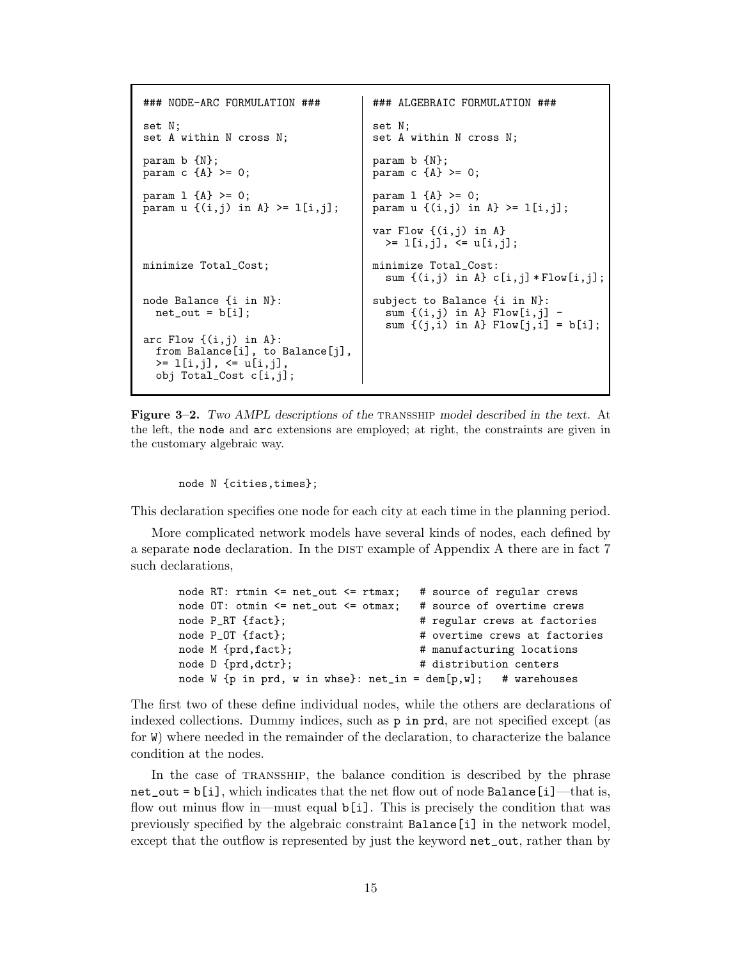```
### NODE-ARC FORMULATION ### ### ALGEBRAIC FORMULATION ###
set N; set N;
set A within N cross N; <br> set A within N cross N;
param b \{N\};<br>param c \{A\} >= 0;<br>param c \{A\} param c \{A\}param c {A} > = 0;
param 1 {A} > = 0;<br>param u {(i,j)} in A} >= 1[i,j];<br>param u {(i,j)} in
                                    param u \{(i,j) in A} >= 1[i,j];
                                    var Flow \{(i,j) in A}
                                      >= l[i,j], <= u[i,j];
minimize Total_Cost; minimize Total_Cost:
                                      sum \{(i,j) in A} c[i,j]*Flow[i,j];node Balance {i in N}:<br>net_out = b[i];<br>sum {(i,j) in A} Flow[i,j]
                                      sum (i,j) in A} Flow[i,j] -
                                      sum \{ (j,i) in A} Flow[i,i] = b[i];
arc Flow \{(i,j) in A}:
  from Balance[i], to Balance[j],
  >= l[i,j], <= u[i,j],
  obj Total_Cost c[i,j];
```
**Figure 3–2.** *Two AMPL descriptions of the* transship *model described in the text.* At the left, the node and arc extensions are employed; at right, the constraints are given in the customary algebraic way.

node N {cities,times};

This declaration specifies one node for each city at each time in the planning period.

More complicated network models have several kinds of nodes, each defined by a separate node declaration. In the DIST example of Appendix A there are in fact 7 such declarations,

```
node RT: rtmin <= net_out <= rtmax; # source of regular crews
node OT: otmin <= net_out <= otmax; # source of overtime crews
node P_RT {fact}; \qquad \qquad \qquad # regular crews at factories
node P_OT {fact}; \qquad \qquad \qquad \qquad # overtime crews at factories
node M {prd,fact}; \qquad # manufacturing locations
node D {prd,dctr}; \qquad # distribution centers
node W \{p \text{ in } prd, w \text{ in } whse\}: net_in = \text{dem}[p,w]; # warehouses
```
The first two of these define individual nodes, while the others are declarations of indexed collections. Dummy indices, such as p in prd, are not specified except (as for W) where needed in the remainder of the declaration, to characterize the balance condition at the nodes.

In the case of transship, the balance condition is described by the phrase  $net\_out = b[i]$ , which indicates that the net flow out of node Balance [i]—that is, flow out minus flow in—must equal  $\mathfrak{b}[i]$ . This is precisely the condition that was previously specified by the algebraic constraint Balance[i] in the network model, except that the outflow is represented by just the keyword net\_out, rather than by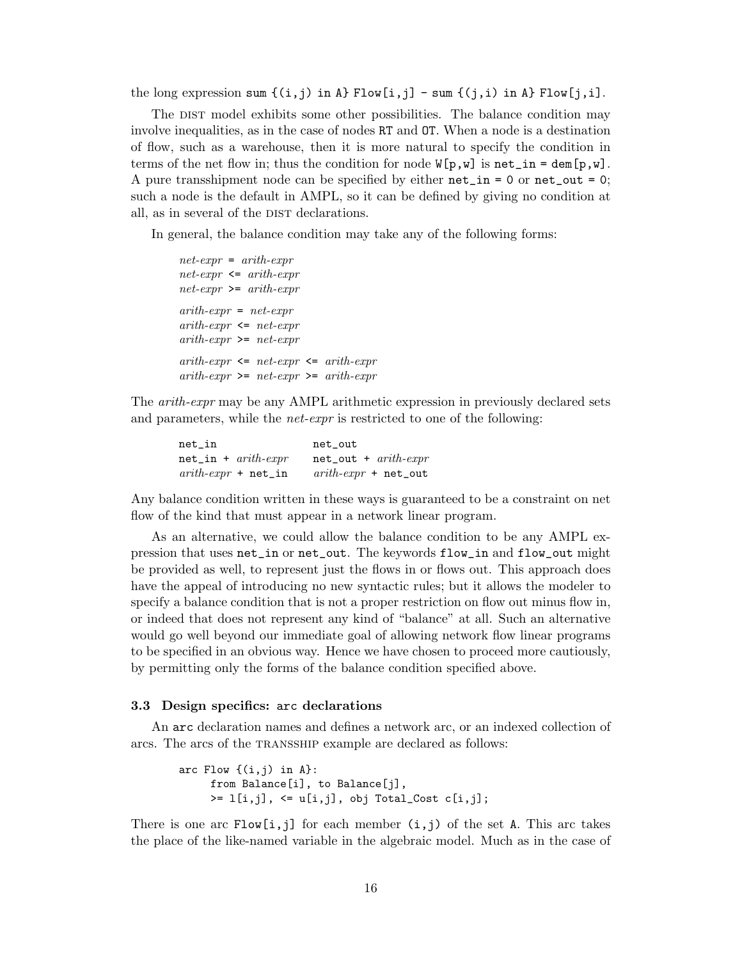the long expression sum  $\{(i,j) \text{ in } A\}$  Flow $[i,j]$  - sum  $\{(j,i) \text{ in } A\}$  Flow $[j,i]$ .

The DIST model exhibits some other possibilities. The balance condition may involve inequalities, as in the case of nodes RT and OT. When a node is a destination of flow, such as a warehouse, then it is more natural to specify the condition in terms of the net flow in; thus the condition for node  $W[p,w]$  is net\_in = dem[p,w]. A pure transshipment node can be specified by either  $net_in = 0$  or  $net-out = 0$ ; such a node is the default in AMPL, so it can be defined by giving no condition at all, as in several of the DIST declarations.

In general, the balance condition may take any of the following forms:

```
net\text{-}expr = arith\text{-}exprnet-expr <= arith-expr
net\text{-}expr \geq -arith\text{-}exprarith-expr = net-exprarith-expr \leq net-exprarith-expr \geq net-exprarith-expr \leq net-expr \leq arith-exprarith-expr \geq net-expr \geq arith-expr
```
The arith-expr may be any AMPL arithmetic expression in previously declared sets and parameters, while the *net-expr* is restricted to one of the following:

| $net_in$                                   | net_out                                     |
|--------------------------------------------|---------------------------------------------|
| $net_in + arith-expr$                      | $net\_out + arith-expr$                     |
| $arith\text{-}expr + \text{net}\text{-}in$ | $arith\text{-}expr + \text{net}\text{-}out$ |

Any balance condition written in these ways is guaranteed to be a constraint on net flow of the kind that must appear in a network linear program.

As an alternative, we could allow the balance condition to be any AMPL expression that uses net\_in or net\_out. The keywords flow\_in and flow\_out might be provided as well, to represent just the flows in or flows out. This approach does have the appeal of introducing no new syntactic rules; but it allows the modeler to specify a balance condition that is not a proper restriction on flow out minus flow in, or indeed that does not represent any kind of "balance" at all. Such an alternative would go well beyond our immediate goal of allowing network flow linear programs to be specified in an obvious way. Hence we have chosen to proceed more cautiously, by permitting only the forms of the balance condition specified above.

### **3.3 Design specifics:** arc **declarations**

An arc declaration names and defines a network arc, or an indexed collection of arcs. The arcs of the TRANSSHIP example are declared as follows:

```
arc Flow \{(i,j) in A\}:
     from Balance[i], to Balance[j],
     >= 1[i,j], \leq u[i,j], obj Total_Cost c[i,j];
```
There is one arc  $Flow[i,j]$  for each member  $(i,j)$  of the set A. This arc takes the place of the like-named variable in the algebraic model. Much as in the case of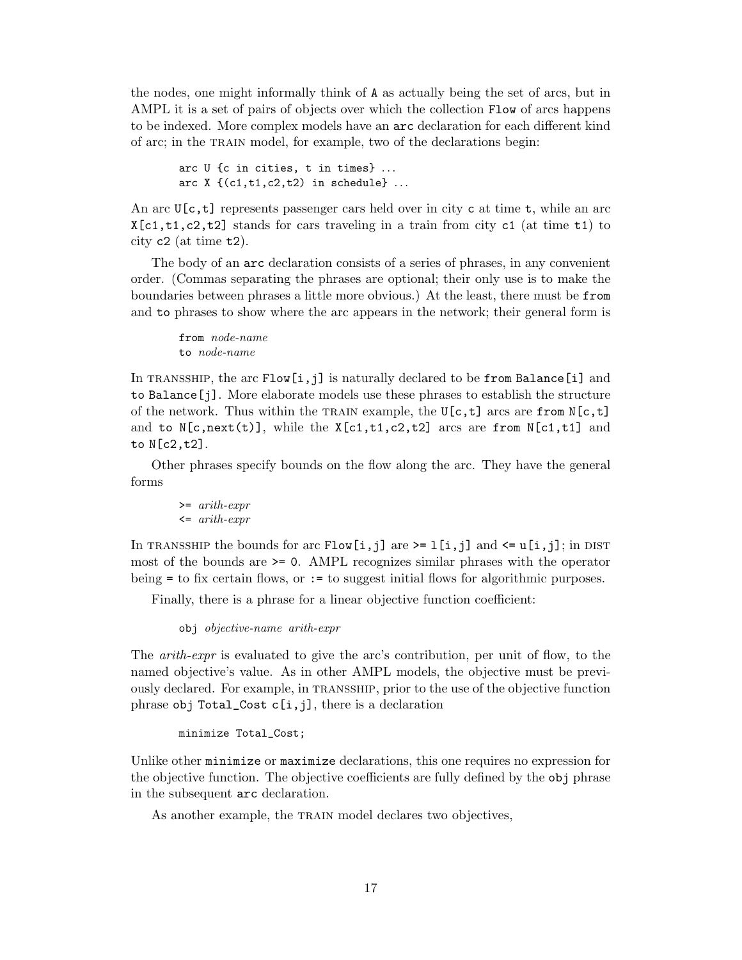the nodes, one might informally think of A as actually being the set of arcs, but in AMPL it is a set of pairs of objects over which the collection Flow of arcs happens to be indexed. More complex models have an arc declaration for each different kind of arc; in the TRAIN model, for example, two of the declarations begin:

arc U {c in cities, t in times} ... arc  $X \{ (c1, t1, c2, t2) \text{ in schedule} \}$ ...

An arc  $U[c, t]$  represents passenger cars held over in city c at time t, while an arc  $X[c1, t1, c2, t2]$  stands for cars traveling in a train from city c1 (at time t1) to city c2 (at time t2).

The body of an arc declaration consists of a series of phrases, in any convenient order. (Commas separating the phrases are optional; their only use is to make the boundaries between phrases a little more obvious.) At the least, there must be from and to phrases to show where the arc appears in the network; their general form is

from *node-name* to node-name

In TRANSSHIP, the arc  $Flow[i,j]$  is naturally declared to be from Balance[i] and to Balance[j]. More elaborate models use these phrases to establish the structure of the network. Thus within the TRAIN example, the  $U[c, t]$  arcs are from  $N[c, t]$ and to  $N[c, next(t)]$ , while the  $X[c1, t1, c2, t2]$  arcs are from  $N[c1, t1]$  and to N[c2,t2].

Other phrases specify bounds on the flow along the arc. They have the general forms

>= arith-expr  $\leftarrow$  arith-expr

In TRANSSHIP the bounds for arc Flow[i,j] are  $\geq 1$ [i,j] and  $\leq w$ [i,j]; in DIST most of the bounds are >= 0. AMPL recognizes similar phrases with the operator being = to fix certain flows, or := to suggest initial flows for algorithmic purposes.

Finally, there is a phrase for a linear objective function coefficient:

obj objective-name arith-expr

The *arith-expr* is evaluated to give the arc's contribution, per unit of flow, to the named objective's value. As in other AMPL models, the objective must be previously declared. For example, in transship, prior to the use of the objective function phrase obj Total\_Cost c[i,j], there is a declaration

minimize Total\_Cost;

Unlike other minimize or maximize declarations, this one requires no expression for the objective function. The objective coefficients are fully defined by the obj phrase in the subsequent arc declaration.

As another example, the TRAIN model declares two objectives,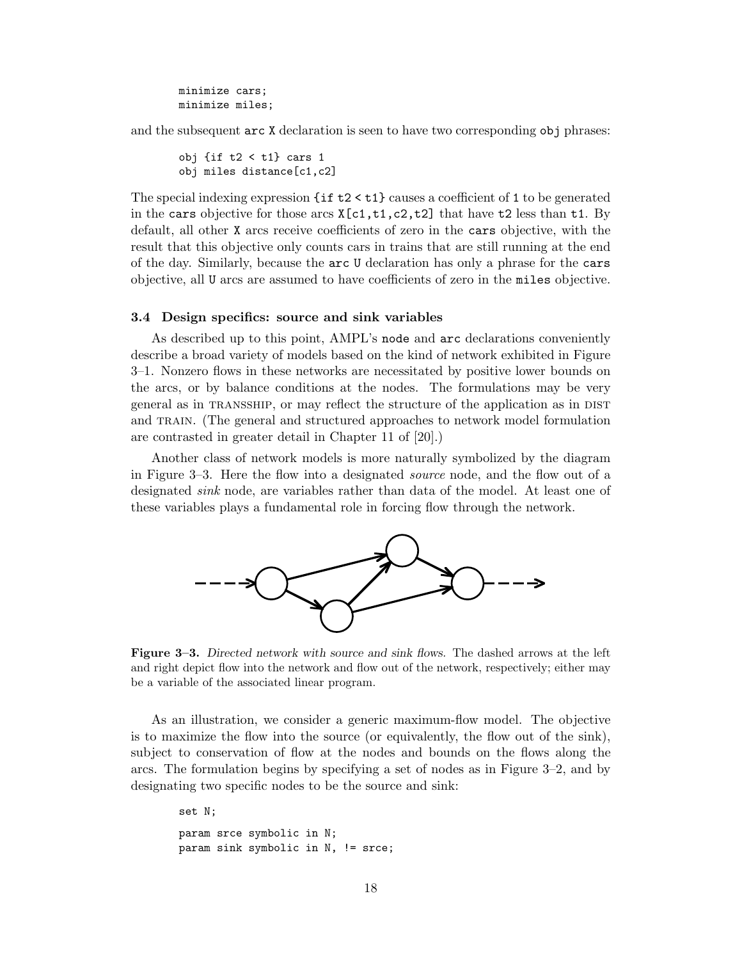minimize cars; minimize miles;

and the subsequent arc X declaration is seen to have two corresponding obj phrases:

```
obj \{ \text{if } t2 < t1 \} cars 1
obj miles distance[c1,c2]
```
The special indexing expression {if t2 < t1} causes a coefficient of 1 to be generated in the cars objective for those arcs  $X[c1, t1, c2, t2]$  that have t2 less than t1. By default, all other X arcs receive coefficients of zero in the cars objective, with the result that this objective only counts cars in trains that are still running at the end of the day. Similarly, because the arc U declaration has only a phrase for the cars objective, all U arcs are assumed to have coefficients of zero in the miles objective.

### **3.4 Design specifics: source and sink variables**

As described up to this point, AMPL's node and arc declarations conveniently describe a broad variety of models based on the kind of network exhibited in Figure 3–1. Nonzero flows in these networks are necessitated by positive lower bounds on the arcs, or by balance conditions at the nodes. The formulations may be very general as in transship, or may reflect the structure of the application as in dist and train. (The general and structured approaches to network model formulation are contrasted in greater detail in Chapter 11 of [20].)

Another class of network models is more naturally symbolized by the diagram in Figure 3–3. Here the flow into a designated source node, and the flow out of a designated sink node, are variables rather than data of the model. At least one of these variables plays a fundamental role in forcing flow through the network.



**Figure 3–3.** *Directed network with source and sink flows.* The dashed arrows at the left and right depict flow into the network and flow out of the network, respectively; either may be a variable of the associated linear program.

As an illustration, we consider a generic maximum-flow model. The objective is to maximize the flow into the source (or equivalently, the flow out of the sink), subject to conservation of flow at the nodes and bounds on the flows along the arcs. The formulation begins by specifying a set of nodes as in Figure 3–2, and by designating two specific nodes to be the source and sink:

```
set N;
param srce symbolic in N;
param sink symbolic in N, != srce;
```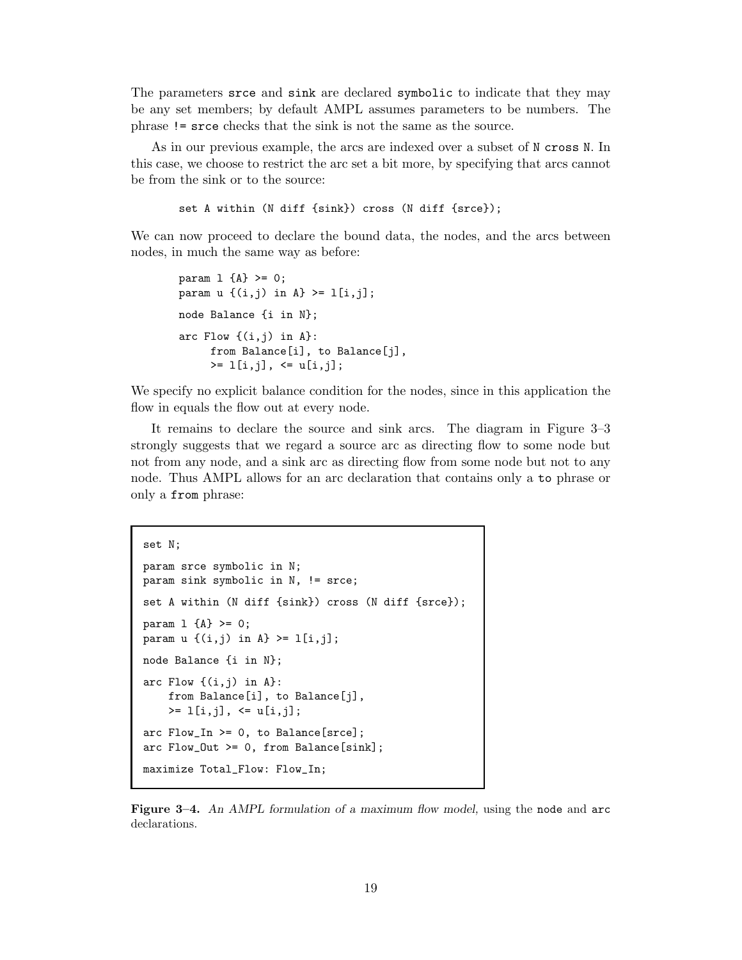The parameters srce and sink are declared symbolic to indicate that they may be any set members; by default AMPL assumes parameters to be numbers. The phrase != srce checks that the sink is not the same as the source.

As in our previous example, the arcs are indexed over a subset of N cross N. In this case, we choose to restrict the arc set a bit more, by specifying that arcs cannot be from the sink or to the source:

set A within (N diff {sink}) cross (N diff {srce});

We can now proceed to declare the bound data, the nodes, and the arcs between nodes, in much the same way as before:

```
param 1 {A} > = 0;param u \{ (i,j) \in A \} \geq 1[i,j];node Balance {i in N};
arc Flow \{(i,j) in A\}:
     from Balance[i], to Balance[j],
     >= l[i,j], <= u[i,j];
```
We specify no explicit balance condition for the nodes, since in this application the flow in equals the flow out at every node.

It remains to declare the source and sink arcs. The diagram in Figure 3–3 strongly suggests that we regard a source arc as directing flow to some node but not from any node, and a sink arc as directing flow from some node but not to any node. Thus AMPL allows for an arc declaration that contains only a to phrase or only a from phrase:

```
set N;
param srce symbolic in N;
param sink symbolic in N, != srce;
set A within (N diff {sink}) cross (N diff {srce});
param 1 \{A\} >= 0;
param u \{ (i, j) \text{ in } A \} \geq 1[i, j];node Balance {i in N};
arc Flow \{(i,j) in A}:
    from Balance[i], to Balance[j],
    >= l[i,j], <= u[i,j];
arc Flow_In >= 0, to Balance[srce];
arc Flow_Out >= 0, from Balance[sink];
maximize Total_Flow: Flow_In;
```
**Figure 3–4.** *An AMPL formulation of a maximum flow model,* using the node and arc declarations.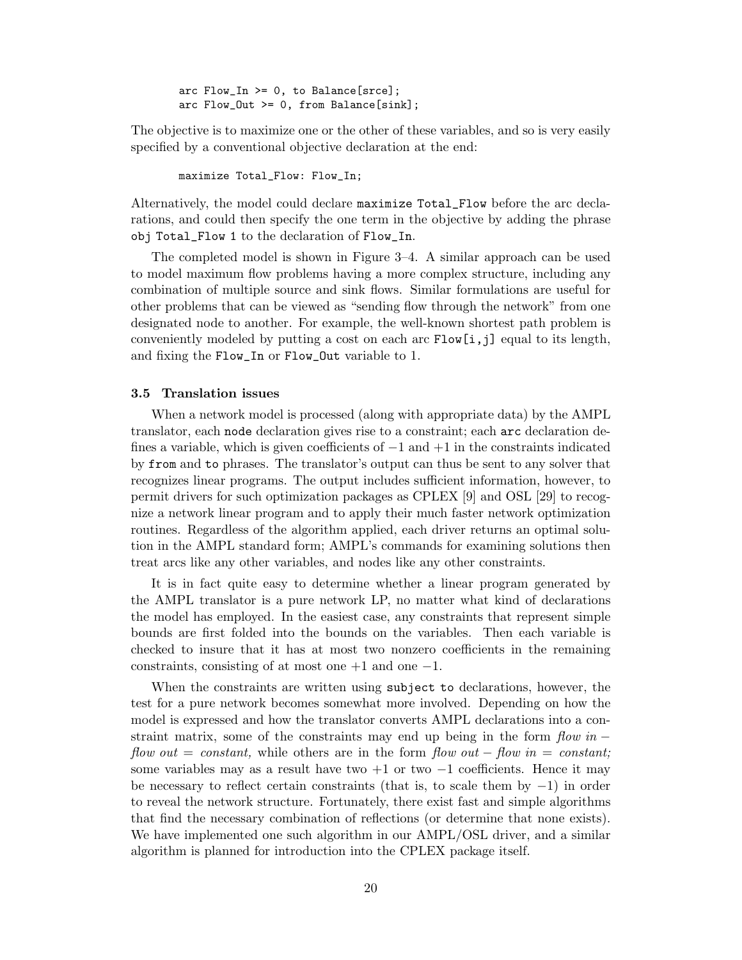arc  $Flow\_In \ge 0$ , to Balance[srce];  $arc Flow_Out \ge 0$ , from Balance[sink];

The objective is to maximize one or the other of these variables, and so is very easily specified by a conventional objective declaration at the end:

maximize Total\_Flow: Flow\_In;

Alternatively, the model could declare maximize Total\_Flow before the arc declarations, and could then specify the one term in the objective by adding the phrase obj Total\_Flow 1 to the declaration of Flow\_In.

The completed model is shown in Figure 3–4. A similar approach can be used to model maximum flow problems having a more complex structure, including any combination of multiple source and sink flows. Similar formulations are useful for other problems that can be viewed as "sending flow through the network" from one designated node to another. For example, the well-known shortest path problem is conveniently modeled by putting a cost on each arc  $Flow[i,j]$  equal to its length, and fixing the Flow\_In or Flow\_Out variable to 1.

### **3.5 Translation issues**

When a network model is processed (along with appropriate data) by the AMPL translator, each node declaration gives rise to a constraint; each arc declaration defines a variable, which is given coefficients of  $-1$  and  $+1$  in the constraints indicated by from and to phrases. The translator's output can thus be sent to any solver that recognizes linear programs. The output includes sufficient information, however, to permit drivers for such optimization packages as CPLEX [9] and OSL [29] to recognize a network linear program and to apply their much faster network optimization routines. Regardless of the algorithm applied, each driver returns an optimal solution in the AMPL standard form; AMPL's commands for examining solutions then treat arcs like any other variables, and nodes like any other constraints.

It is in fact quite easy to determine whether a linear program generated by the AMPL translator is a pure network LP, no matter what kind of declarations the model has employed. In the easiest case, any constraints that represent simple bounds are first folded into the bounds on the variables. Then each variable is checked to insure that it has at most two nonzero coefficients in the remaining constraints, consisting of at most one  $+1$  and one  $-1$ .

When the constraints are written using subject to declarations, however, the test for a pure network becomes somewhat more involved. Depending on how the model is expressed and how the translator converts AMPL declarations into a constraint matrix, some of the constraints may end up being in the form  $flow in$ flow out = constant, while others are in the form flow out – flow in = constant; some variables may as a result have two  $+1$  or two  $-1$  coefficients. Hence it may be necessary to reflect certain constraints (that is, to scale them by −1) in order to reveal the network structure. Fortunately, there exist fast and simple algorithms that find the necessary combination of reflections (or determine that none exists). We have implemented one such algorithm in our AMPL/OSL driver, and a similar algorithm is planned for introduction into the CPLEX package itself.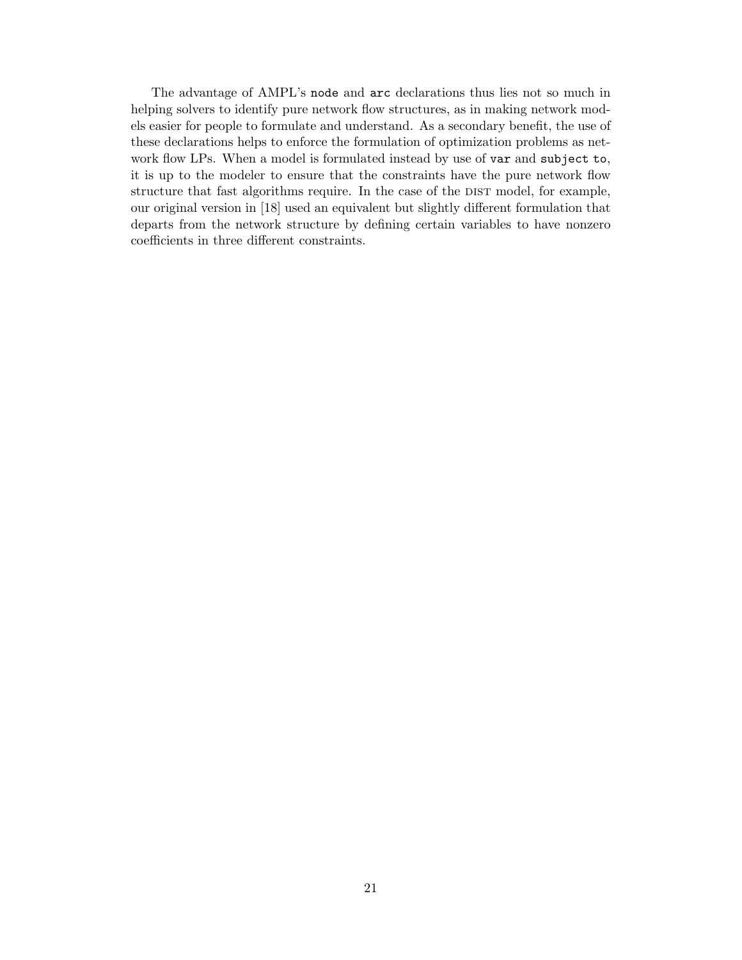The advantage of AMPL's node and arc declarations thus lies not so much in helping solvers to identify pure network flow structures, as in making network models easier for people to formulate and understand. As a secondary benefit, the use of these declarations helps to enforce the formulation of optimization problems as network flow LPs. When a model is formulated instead by use of var and subject to, it is up to the modeler to ensure that the constraints have the pure network flow structure that fast algorithms require. In the case of the DIST model, for example, our original version in [18] used an equivalent but slightly different formulation that departs from the network structure by defining certain variables to have nonzero coefficients in three different constraints.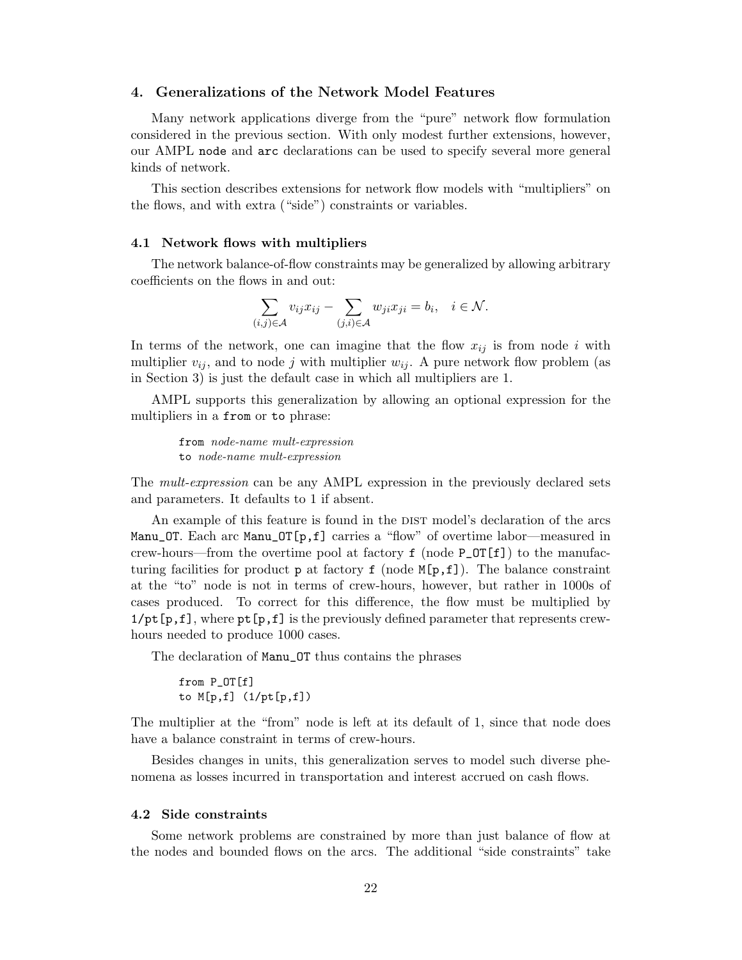# **4. Generalizations of the Network Model Features**

Many network applications diverge from the "pure" network flow formulation considered in the previous section. With only modest further extensions, however, our AMPL node and arc declarations can be used to specify several more general kinds of network.

This section describes extensions for network flow models with "multipliers" on the flows, and with extra ("side") constraints or variables.

#### **4.1 Network flows with multipliers**

The network balance-of-flow constraints may be generalized by allowing arbitrary coefficients on the flows in and out:

$$
\sum_{(i,j)\in\mathcal{A}} v_{ij}x_{ij} - \sum_{(j,i)\in\mathcal{A}} w_{ji}x_{ji} = b_i, \quad i \in \mathcal{N}.
$$

In terms of the network, one can imagine that the flow  $x_{ij}$  is from node *i* with multiplier  $v_{ij}$ , and to node *j* with multiplier  $w_{ij}$ . A pure network flow problem (as in Section 3) is just the default case in which all multipliers are 1.

AMPL supports this generalization by allowing an optional expression for the multipliers in a from or to phrase:

from node-name mult-expression to node-name mult-expression

The mult-expression can be any AMPL expression in the previously declared sets and parameters. It defaults to 1 if absent.

An example of this feature is found in the DIST model's declaration of the arcs Manu\_0T. Each arc Manu\_0T[p,f] carries a "flow" of overtime labor—measured in crew-hours—from the overtime pool at factory  $f$  (node  $P_OT[f]$ ) to the manufacturing facilities for product  $p$  at factory  $f$  (node  $M[p,f]$ ). The balance constraint at the "to" node is not in terms of crew-hours, however, but rather in 1000s of cases produced. To correct for this difference, the flow must be multiplied by  $1/\text{pt}[p,f]$ , where  $\text{pt}[p,f]$  is the previously defined parameter that represents crewhours needed to produce 1000 cases.

The declaration of Manu\_OT thus contains the phrases

from P\_OT[f] to M[p,f] (1/pt[p,f])

The multiplier at the "from" node is left at its default of 1, since that node does have a balance constraint in terms of crew-hours.

Besides changes in units, this generalization serves to model such diverse phenomena as losses incurred in transportation and interest accrued on cash flows.

#### **4.2 Side constraints**

Some network problems are constrained by more than just balance of flow at the nodes and bounded flows on the arcs. The additional "side constraints" take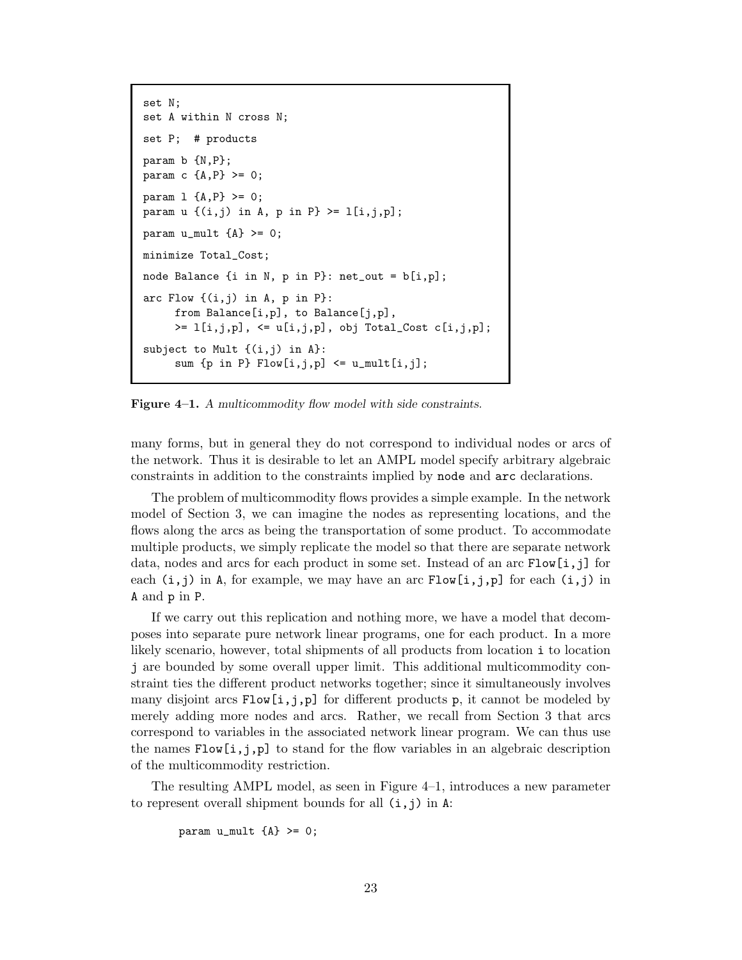```
set N;
set A within N cross N;
set P; # products
param b {N,P};
param c {A, P} >= 0;
param 1 {A, P} > = 0;param u \{ (i,j) \text{ in } A, p \text{ in } P \} \geq 1[i,j,p];param u_mult {A} >= 0;
minimize Total_Cost;
node Balance {i in N, p in P}: net_out = b[i,p];
arc Flow \{(i,j) in A, p in P}:
     from Balance[i,p], to Balance[j,p],
     >= 1[i,j,p], \leq u[i,j,p], obj Total_Cost c[i,j,p];subject to Mult {(i,j) in A}:
     sum {p \text{ in } P} Flow[i,j,p] \leq u_{\text{multi}}[i,j];
```
**Figure 4–1.** *A multicommodity flow model with side constraints.*

many forms, but in general they do not correspond to individual nodes or arcs of the network. Thus it is desirable to let an AMPL model specify arbitrary algebraic constraints in addition to the constraints implied by node and arc declarations.

The problem of multicommodity flows provides a simple example. In the network model of Section 3, we can imagine the nodes as representing locations, and the flows along the arcs as being the transportation of some product. To accommodate multiple products, we simply replicate the model so that there are separate network data, nodes and arcs for each product in some set. Instead of an arc  $Flow[i,j]$  for each  $(i, j)$  in A, for example, we may have an arc  $Flow[i, j, p]$  for each  $(i, j)$  in A and p in P.

If we carry out this replication and nothing more, we have a model that decomposes into separate pure network linear programs, one for each product. In a more likely scenario, however, total shipments of all products from location i to location j are bounded by some overall upper limit. This additional multicommodity constraint ties the different product networks together; since it simultaneously involves many disjoint arcs  $\text{Flow}[i,j,p]$  for different products p, it cannot be modeled by merely adding more nodes and arcs. Rather, we recall from Section 3 that arcs correspond to variables in the associated network linear program. We can thus use the names  $Flow[i,j,p]$  to stand for the flow variables in an algebraic description of the multicommodity restriction.

The resulting AMPL model, as seen in Figure 4–1, introduces a new parameter to represent overall shipment bounds for all  $(i, j)$  in A:

```
param u_mult {A} >= 0;
```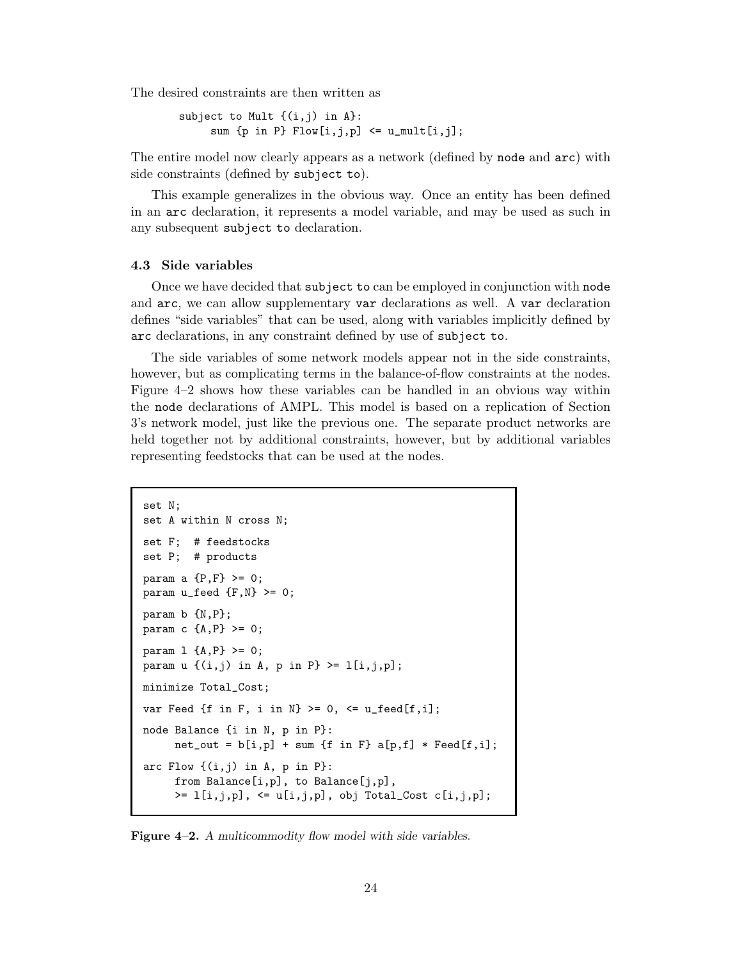The desired constraints are then written as

```
subject to Mult {(i,j) in A}:
      sum \{p \text{ in } P\} Flow[i, j, p] \leq u_{\text{mult}}[i, j];
```
The entire model now clearly appears as a network (defined by node and arc) with side constraints (defined by subject to).

This example generalizes in the obvious way. Once an entity has been defined in an arc declaration, it represents a model variable, and may be used as such in any subsequent subject to declaration.

# **4.3 Side variables**

Once we have decided that subject to can be employed in conjunction with node and arc, we can allow supplementary var declarations as well. A var declaration defines "side variables" that can be used, along with variables implicitly defined by arc declarations, in any constraint defined by use of subject to.

The side variables of some network models appear not in the side constraints, however, but as complicating terms in the balance-of-flow constraints at the nodes. Figure 4–2 shows how these variables can be handled in an obvious way within the node declarations of AMPL. This model is based on a replication of Section 3's network model, just like the previous one. The separate product networks are held together not by additional constraints, however, but by additional variables representing feedstocks that can be used at the nodes.

```
set N;
set A within N cross N;
set F; # feedstocks
set P; # products
param a {P, F} > = 0;
param u_feed {F,N} > = 0;
param b {N,P};
param c {A, P} >= 0;
param 1 \{A, P\} \ge 0;
param u \{ (i,j) \text{ in } A, p \text{ in } P \} \geq 1[i,j,p];minimize Total_Cost;
var Feed {f in F, i in N} >= 0, \leq u_feed[f,i];
node Balance {i in N, p in P}:
     net\_out = b[i,p] + sum{f in F} a[p,f] * Feed[f,i];arc Flow \{(i,j) in A, p in P}:
     from Balance[i,p], to Balance[j,p],
     >= 1[i,j,p], \leq u[i,j,p], obj Total_Cost c[i,j,p];
```
**Figure 4–2.** *A multicommodity flow model with side variables.*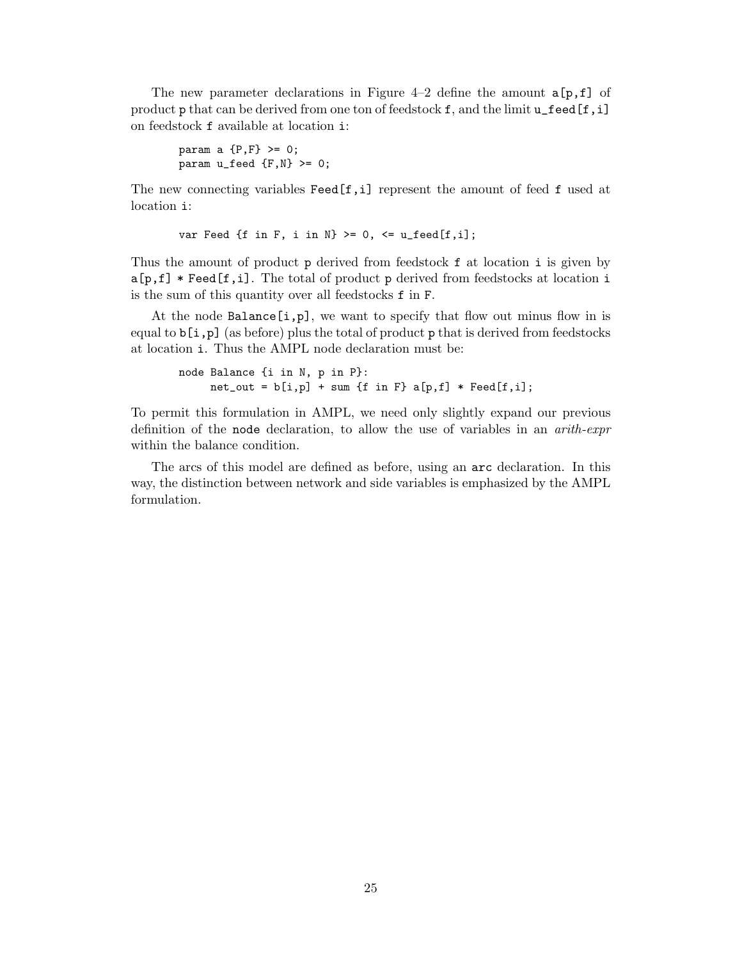The new parameter declarations in Figure 4–2 define the amount  $a[p,f]$  of product p that can be derived from one ton of feedstock f, and the limit  $u$ \_feed[f, i] on feedstock f available at location i:

```
param a {P, F} > = 0;
param u_feed {F,N} > = 0;
```
The new connecting variables Feed[f,i] represent the amount of feed f used at location i:

```
var Feed {f in F, i in N} >= 0, \leq u_feed[f,i];
```
Thus the amount of product p derived from feedstock f at location i is given by a[p,f] \* Feed[f,i]. The total of product p derived from feedstocks at location i is the sum of this quantity over all feedstocks f in F.

At the node Balance  $[i, p]$ , we want to specify that flow out minus flow in is equal to  $b[i,p]$  (as before) plus the total of product p that is derived from feedstocks at location i. Thus the AMPL node declaration must be:

```
node Balance {i in N, p in P}:
    net\_out = b[i,p] + sum{f in F} a[p,f] * Feed[f,i];
```
To permit this formulation in AMPL, we need only slightly expand our previous definition of the node declaration, to allow the use of variables in an arith-expr within the balance condition.

The arcs of this model are defined as before, using an arc declaration. In this way, the distinction between network and side variables is emphasized by the AMPL formulation.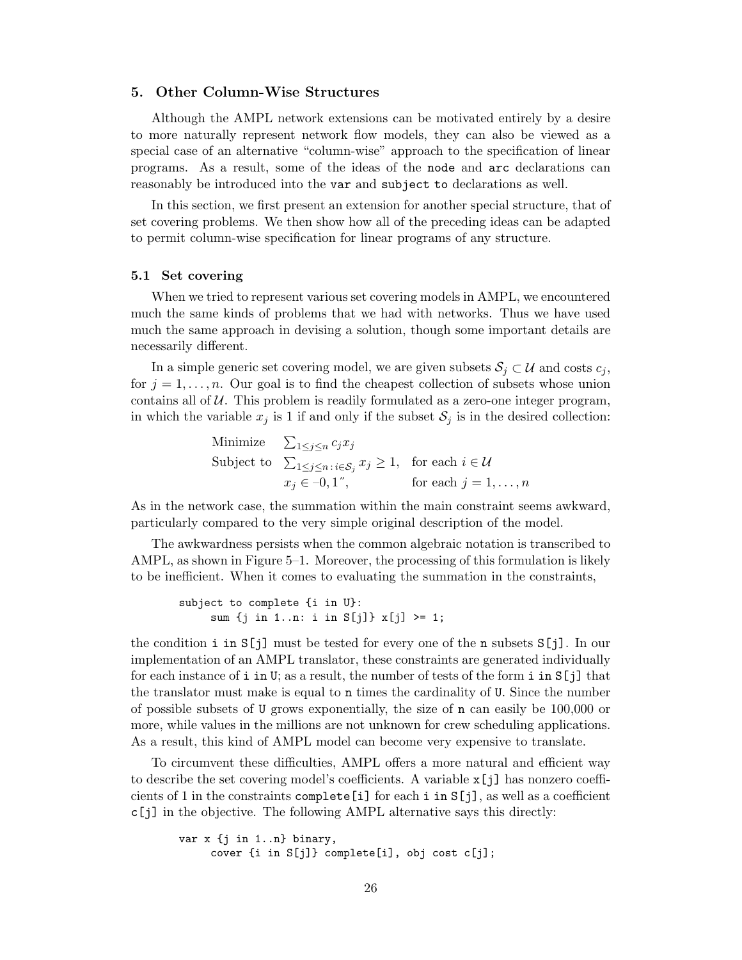### **5. Other Column-Wise Structures**

Although the AMPL network extensions can be motivated entirely by a desire to more naturally represent network flow models, they can also be viewed as a special case of an alternative "column-wise" approach to the specification of linear programs. As a result, some of the ideas of the node and arc declarations can reasonably be introduced into the var and subject to declarations as well.

In this section, we first present an extension for another special structure, that of set covering problems. We then show how all of the preceding ideas can be adapted to permit column-wise specification for linear programs of any structure.

### **5.1 Set covering**

When we tried to represent various set covering models in AMPL, we encountered much the same kinds of problems that we had with networks. Thus we have used much the same approach in devising a solution, though some important details are necessarily different.

In a simple generic set covering model, we are given subsets  $S_j \subset \mathcal{U}$  and costs  $c_j$ , for  $j = 1, \ldots, n$ . Our goal is to find the cheapest collection of subsets whose union contains all of  $U$ . This problem is readily formulated as a zero-one integer program, in which the variable  $x_j$  is 1 if and only if the subset  $S_j$  is in the desired collection:

> Minimize  $\sum_{1 \leq j \leq n} c_j x_j$ Subject to  $\sum_{1 \leq j \leq n} f_j \geq 1$ , for each  $i \in \mathcal{U}$  $x_j \in -0, 1$ <sup>"</sup>, for each  $j = 1, ..., n$

As in the network case, the summation within the main constraint seems awkward, particularly compared to the very simple original description of the model.

The awkwardness persists when the common algebraic notation is transcribed to AMPL, as shown in Figure 5–1. Moreover, the processing of this formulation is likely to be inefficient. When it comes to evaluating the summation in the constraints,

subject to complete {i in U}: sum {j in 1..n: i in S[j]} x[j] >= 1;

the condition i in  $S[j]$  must be tested for every one of the n subsets  $S[j]$ . In our implementation of an AMPL translator, these constraints are generated individually for each instance of i in U; as a result, the number of tests of the form i in S[j] that the translator must make is equal to n times the cardinality of U. Since the number of possible subsets of U grows exponentially, the size of n can easily be 100,000 or more, while values in the millions are not unknown for crew scheduling applications. As a result, this kind of AMPL model can become very expensive to translate.

To circumvent these difficulties, AMPL offers a more natural and efficient way to describe the set covering model's coefficients. A variable x[j] has nonzero coefficients of 1 in the constraints complete [i] for each i in  $S[j]$ , as well as a coefficient c[j] in the objective. The following AMPL alternative says this directly:

```
var x {j in 1..n} binary,
     cover {i in S[j]} complete[i], obj cost c[j];
```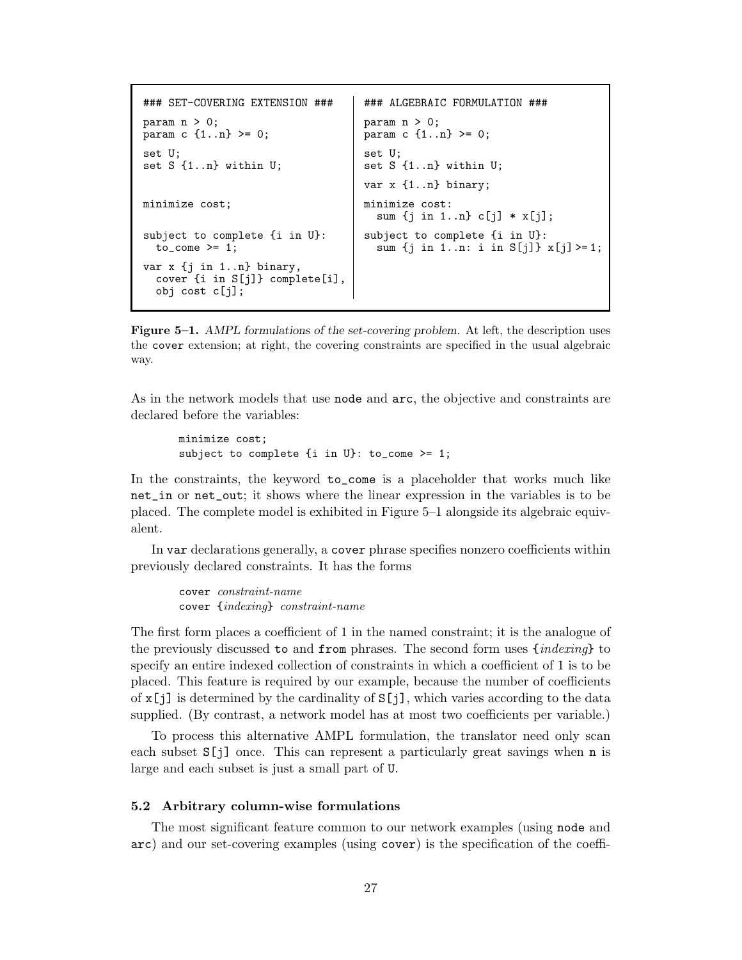```
### SET-COVERING EXTENSION ### ### ALGEBRAIC FORMULATION ###
param n > 0;<br>
param c {1..n} >= 0;<br>
param c {1..
                                       param c \{1..n\} >= 0;
set U;<br>set S {1..n} within U;<br>set S
                                       set S \{1..n\} within U;
                                       var x {1..n} binary;
minimize cost; minimize cost:
                                         sum {j in 1..n} c[j] * x[j];
subject to complete \{i \text{ in } U\}:<br>to_come >= 1;<br>sum \{j \text{ in } 1..n: i \text{ in } S[j]\}sum \{j \text{ in } 1..n: i \text{ in } S[j] \} x[j] \geq 1;var x {j in 1..n} binary,
  cover {i in S[j]} complete[i],
  obj cost c[j];
```
**Figure 5–1.** *AMPL formulations of the set-covering problem.* At left, the description uses the cover extension; at right, the covering constraints are specified in the usual algebraic way.

As in the network models that use node and arc, the objective and constraints are declared before the variables:

```
minimize cost;
subject to complete {i in U}: to_come >= 1;
```
In the constraints, the keyword to\_come is a placeholder that works much like net\_in or net\_out; it shows where the linear expression in the variables is to be placed. The complete model is exhibited in Figure 5–1 alongside its algebraic equivalent.

In var declarations generally, a cover phrase specifies nonzero coefficients within previously declared constraints. It has the forms

cover constraint-name cover {indexing} constraint-name

The first form places a coefficient of 1 in the named constraint; it is the analogue of the previously discussed to and from phrases. The second form uses  $\{indexing\}$  to specify an entire indexed collection of constraints in which a coefficient of 1 is to be placed. This feature is required by our example, because the number of coefficients of  $x[j]$  is determined by the cardinality of  $S[j]$ , which varies according to the data supplied. (By contrast, a network model has at most two coefficients per variable.)

To process this alternative AMPL formulation, the translator need only scan each subset  $S[j]$  once. This can represent a particularly great savings when n is large and each subset is just a small part of U.

# **5.2 Arbitrary column-wise formulations**

The most significant feature common to our network examples (using node and arc) and our set-covering examples (using cover) is the specification of the coeffi-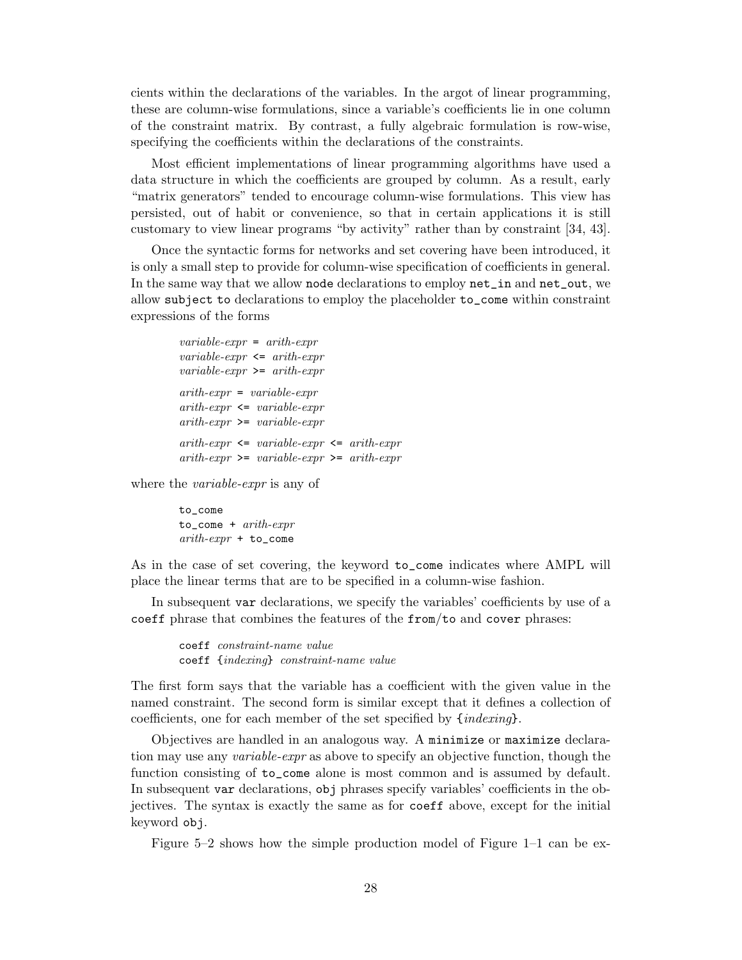cients within the declarations of the variables. In the argot of linear programming, these are column-wise formulations, since a variable's coefficients lie in one column of the constraint matrix. By contrast, a fully algebraic formulation is row-wise, specifying the coefficients within the declarations of the constraints.

Most efficient implementations of linear programming algorithms have used a data structure in which the coefficients are grouped by column. As a result, early "matrix generators" tended to encourage column-wise formulations. This view has persisted, out of habit or convenience, so that in certain applications it is still customary to view linear programs "by activity" rather than by constraint [34, 43].

Once the syntactic forms for networks and set covering have been introduced, it is only a small step to provide for column-wise specification of coefficients in general. In the same way that we allow node declarations to employ net\_in and net\_out, we allow subject to declarations to employ the placeholder to\_come within constraint expressions of the forms

```
variable-expr = arith-expr
variable\text{-}expr \leq arith\text{-}exprvariable\text{-}expr \geq -arith\text{-}exprarith-expr = variable-exprarith-expr \leq variable-exprarith-expr \geq -variable-exprarith-expr \leq variable-expr \leq arith-exprarith-expr \geq variable-expr \geq arith-expr
```
where the *variable-expr* is any of

to\_come to\_come + arith-expr  $arith-expr + to_{cone}$ 

As in the case of set covering, the keyword to\_come indicates where AMPL will place the linear terms that are to be specified in a column-wise fashion.

In subsequent var declarations, we specify the variables' coefficients by use of a coeff phrase that combines the features of the from/to and cover phrases:

coeff constraint-name value coeff {indexing} constraint-name value

The first form says that the variable has a coefficient with the given value in the named constraint. The second form is similar except that it defines a collection of coefficients, one for each member of the set specified by {indexing}.

Objectives are handled in an analogous way. A minimize or maximize declaration may use any variable-expr as above to specify an objective function, though the function consisting of to\_come alone is most common and is assumed by default. In subsequent var declarations, obj phrases specify variables' coefficients in the objectives. The syntax is exactly the same as for coeff above, except for the initial keyword obj.

Figure 5–2 shows how the simple production model of Figure 1–1 can be ex-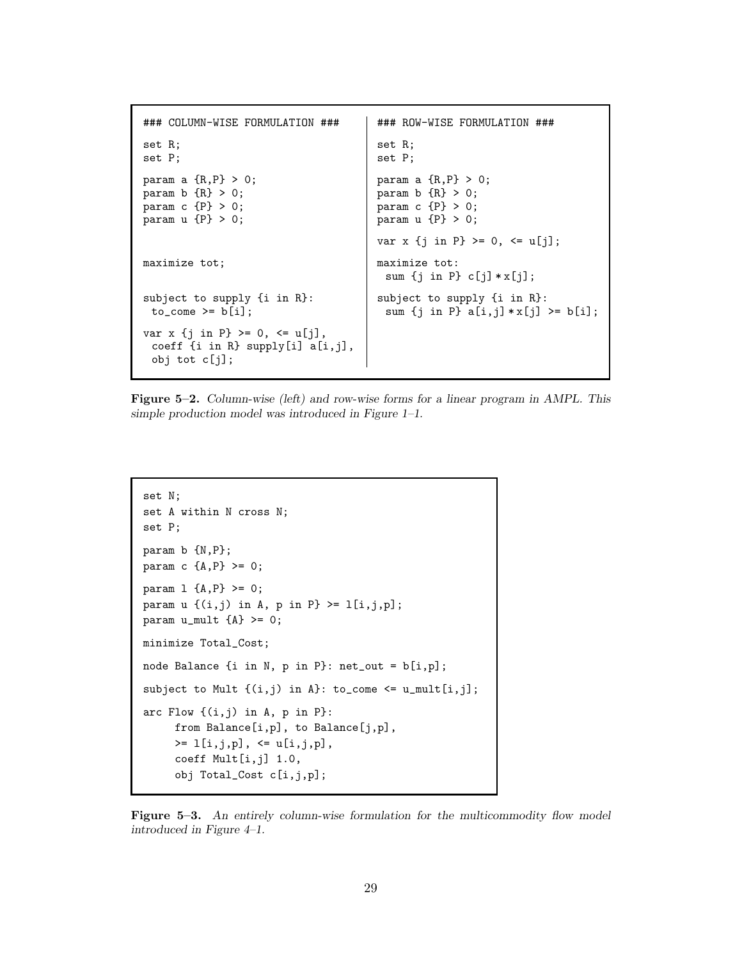```
### COLUMN-WISE FORMULATION ### ### ROW-WISE FORMULATION ###
set R; set R;
set P; set P;
param a {R, P} > 0;<br>param b {R} > 0;<br>param b {R} > 0;
param b {R} > 0;<br>param c {P} > 0;<br>param c {P} > 0;
                                  param c {P} > 0;
param u {P} > 0; param u {P} > 0;
                                  var x {j in P} >= 0, <= u[j];
maximize tot; and \begin{array}{ccc} \text{maximize} & \text{tot:} \\ \end{array}sum \{j \in P\} c[j] * x[j];subject to supply {i in R}: | subject to supply {i in R}:
 to_come >= b[i]; \qquad \qquad | sum {j in P} a[i,j] * x[j] >= b[i];
var x {j in P} >= 0, <= u[j],
 coeff {i in R} supply[i] a[i,j],
 obj tot c[j];
```
**Figure 5–2.** *Column-wise (left) and row-wise forms for a linear program in AMPL. This simple production model was introduced in Figure 1–1.*

```
set N;
set A within N cross N;
set P;
param b {N,P};
param c {A, P} >= 0;
param 1 \{A, P\} >= 0;
param u \{ (i,j) \in A, p \in P \} \geq 1[i,j,p];param u_mult {A} >= 0;
minimize Total_Cost;
node Balance {i in N, p in P}: net_out = b[i,p];
subject to Mult \{(i,j) in A}: to_come <= u_mult[i,j];
arc Flow \{(i,j) in A, p in P}:
     from Balance[i,p], to Balance[j,p],
     >= 1[i, j, p], <= u[i, j, p],coeff Mult[i,j] 1.0,
     obj Total_Cost c[i,j,p];
```
**Figure 5–3.** *An entirely column-wise formulation for the multicommodity flow model introduced in Figure 4–1.*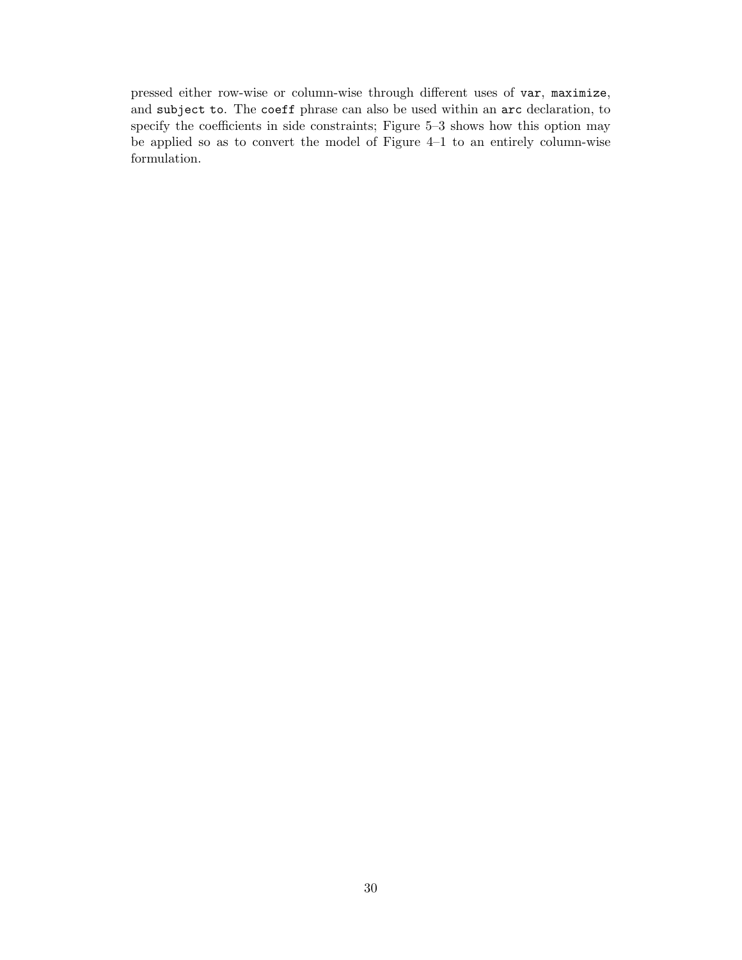pressed either row-wise or column-wise through different uses of var, maximize, and subject to. The coeff phrase can also be used within an arc declaration, to specify the coefficients in side constraints; Figure 5–3 shows how this option may be applied so as to convert the model of Figure 4–1 to an entirely column-wise formulation.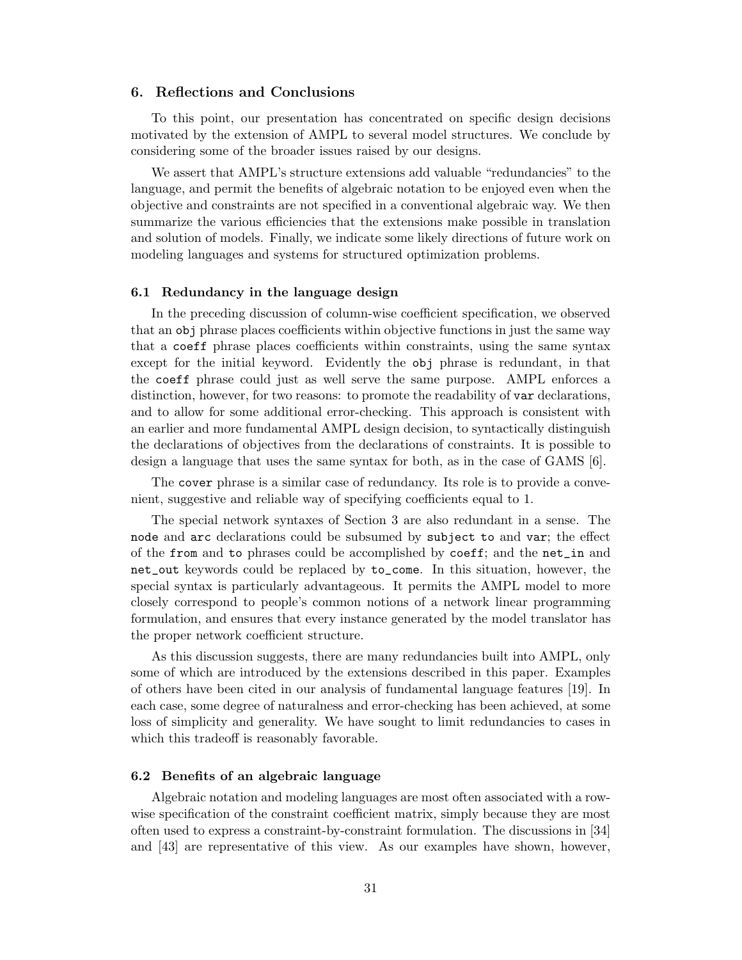# **6. Reflections and Conclusions**

To this point, our presentation has concentrated on specific design decisions motivated by the extension of AMPL to several model structures. We conclude by considering some of the broader issues raised by our designs.

We assert that AMPL's structure extensions add valuable "redundancies" to the language, and permit the benefits of algebraic notation to be enjoyed even when the objective and constraints are not specified in a conventional algebraic way. We then summarize the various efficiencies that the extensions make possible in translation and solution of models. Finally, we indicate some likely directions of future work on modeling languages and systems for structured optimization problems.

# **6.1 Redundancy in the language design**

In the preceding discussion of column-wise coefficient specification, we observed that an obj phrase places coefficients within objective functions in just the same way that a coeff phrase places coefficients within constraints, using the same syntax except for the initial keyword. Evidently the obj phrase is redundant, in that the coeff phrase could just as well serve the same purpose. AMPL enforces a distinction, however, for two reasons: to promote the readability of var declarations, and to allow for some additional error-checking. This approach is consistent with an earlier and more fundamental AMPL design decision, to syntactically distinguish the declarations of objectives from the declarations of constraints. It is possible to design a language that uses the same syntax for both, as in the case of GAMS [6].

The cover phrase is a similar case of redundancy. Its role is to provide a convenient, suggestive and reliable way of specifying coefficients equal to 1.

The special network syntaxes of Section 3 are also redundant in a sense. The node and arc declarations could be subsumed by subject to and var; the effect of the from and to phrases could be accomplished by coeff; and the net\_in and net\_out keywords could be replaced by to\_come. In this situation, however, the special syntax is particularly advantageous. It permits the AMPL model to more closely correspond to people's common notions of a network linear programming formulation, and ensures that every instance generated by the model translator has the proper network coefficient structure.

As this discussion suggests, there are many redundancies built into AMPL, only some of which are introduced by the extensions described in this paper. Examples of others have been cited in our analysis of fundamental language features [19]. In each case, some degree of naturalness and error-checking has been achieved, at some loss of simplicity and generality. We have sought to limit redundancies to cases in which this tradeoff is reasonably favorable.

### **6.2 Benefits of an algebraic language**

Algebraic notation and modeling languages are most often associated with a rowwise specification of the constraint coefficient matrix, simply because they are most often used to express a constraint-by-constraint formulation. The discussions in [34] and [43] are representative of this view. As our examples have shown, however,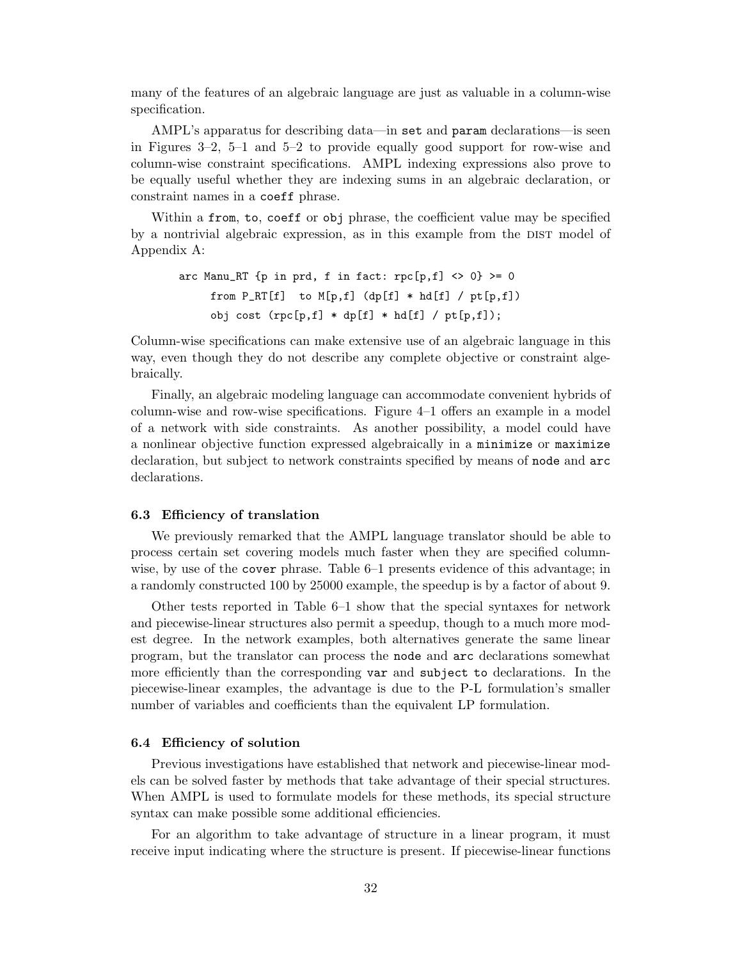many of the features of an algebraic language are just as valuable in a column-wise specification.

AMPL's apparatus for describing data—in set and param declarations—is seen in Figures 3–2, 5–1 and 5–2 to provide equally good support for row-wise and column-wise constraint specifications. AMPL indexing expressions also prove to be equally useful whether they are indexing sums in an algebraic declaration, or constraint names in a coeff phrase.

Within a from, to, coeff or obj phrase, the coefficient value may be specified by a nontrivial algebraic expression, as in this example from the DIST model of Appendix A:

arc Manu\_RT {p in prd, f in fact:  $rpc[p,f]$  <> 0} >= 0 from  $P_RT[f]$  to  $M[p,f]$  (dp[f]  $*$  hd[f] / pt[p,f]) obj cost  $(rpc[p,f] * dp[f] * hd[f] / pt[p,f]);$ 

Column-wise specifications can make extensive use of an algebraic language in this way, even though they do not describe any complete objective or constraint algebraically.

Finally, an algebraic modeling language can accommodate convenient hybrids of column-wise and row-wise specifications. Figure 4–1 offers an example in a model of a network with side constraints. As another possibility, a model could have a nonlinear objective function expressed algebraically in a minimize or maximize declaration, but subject to network constraints specified by means of node and arc declarations.

### **6.3 Efficiency of translation**

We previously remarked that the AMPL language translator should be able to process certain set covering models much faster when they are specified columnwise, by use of the cover phrase. Table 6–1 presents evidence of this advantage; in a randomly constructed 100 by 25000 example, the speedup is by a factor of about 9.

Other tests reported in Table 6–1 show that the special syntaxes for network and piecewise-linear structures also permit a speedup, though to a much more modest degree. In the network examples, both alternatives generate the same linear program, but the translator can process the node and arc declarations somewhat more efficiently than the corresponding var and subject to declarations. In the piecewise-linear examples, the advantage is due to the P-L formulation's smaller number of variables and coefficients than the equivalent LP formulation.

### **6.4 Efficiency of solution**

Previous investigations have established that network and piecewise-linear models can be solved faster by methods that take advantage of their special structures. When AMPL is used to formulate models for these methods, its special structure syntax can make possible some additional efficiencies.

For an algorithm to take advantage of structure in a linear program, it must receive input indicating where the structure is present. If piecewise-linear functions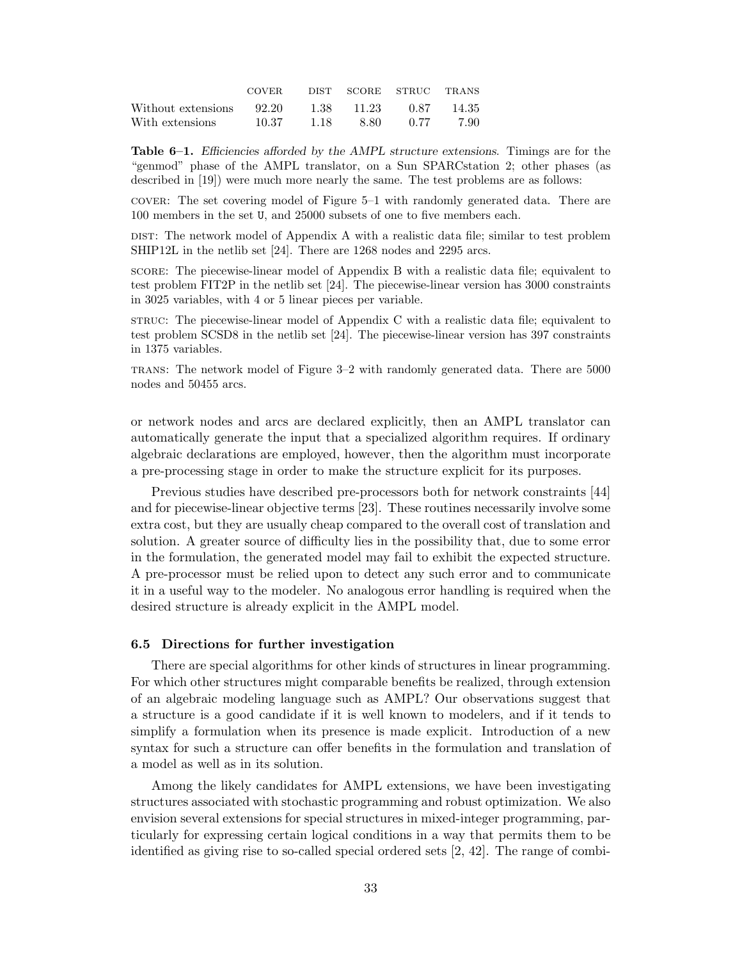|                          | <b>COVER</b> |      |            | DIST SCORE STRUC TRANS |        |
|--------------------------|--------------|------|------------|------------------------|--------|
| Without extensions 92.20 |              |      | 1.38 11.23 | 0.87                   | -14.35 |
| With extensions          | 10.37        | 1.18 | -8.80 -    | 0.77                   | -7.90  |

**Table 6–1.** *Efficiencies afforded by the AMPL structure extensions.* Timings are for the "genmod" phase of the AMPL translator, on a Sun SPARCstation 2; other phases (as described in [19]) were much more nearly the same. The test problems are as follows:

cover: The set covering model of Figure 5–1 with randomly generated data. There are 100 members in the set U, and 25000 subsets of one to five members each.

DIST: The network model of Appendix A with a realistic data file; similar to test problem SHIP12L in the netlib set [24]. There are 1268 nodes and 2295 arcs.

score: The piecewise-linear model of Appendix B with a realistic data file; equivalent to test problem FIT2P in the netlib set [24]. The piecewise-linear version has 3000 constraints in 3025 variables, with 4 or 5 linear pieces per variable.

struc: The piecewise-linear model of Appendix C with a realistic data file; equivalent to test problem SCSD8 in the netlib set [24]. The piecewise-linear version has 397 constraints in 1375 variables.

trans: The network model of Figure 3–2 with randomly generated data. There are 5000 nodes and 50455 arcs.

or network nodes and arcs are declared explicitly, then an AMPL translator can automatically generate the input that a specialized algorithm requires. If ordinary algebraic declarations are employed, however, then the algorithm must incorporate a pre-processing stage in order to make the structure explicit for its purposes.

Previous studies have described pre-processors both for network constraints [44] and for piecewise-linear objective terms [23]. These routines necessarily involve some extra cost, but they are usually cheap compared to the overall cost of translation and solution. A greater source of difficulty lies in the possibility that, due to some error in the formulation, the generated model may fail to exhibit the expected structure. A pre-processor must be relied upon to detect any such error and to communicate it in a useful way to the modeler. No analogous error handling is required when the desired structure is already explicit in the AMPL model.

### **6.5 Directions for further investigation**

There are special algorithms for other kinds of structures in linear programming. For which other structures might comparable benefits be realized, through extension of an algebraic modeling language such as AMPL? Our observations suggest that a structure is a good candidate if it is well known to modelers, and if it tends to simplify a formulation when its presence is made explicit. Introduction of a new syntax for such a structure can offer benefits in the formulation and translation of a model as well as in its solution.

Among the likely candidates for AMPL extensions, we have been investigating structures associated with stochastic programming and robust optimization. We also envision several extensions for special structures in mixed-integer programming, particularly for expressing certain logical conditions in a way that permits them to be identified as giving rise to so-called special ordered sets [2, 42]. The range of combi-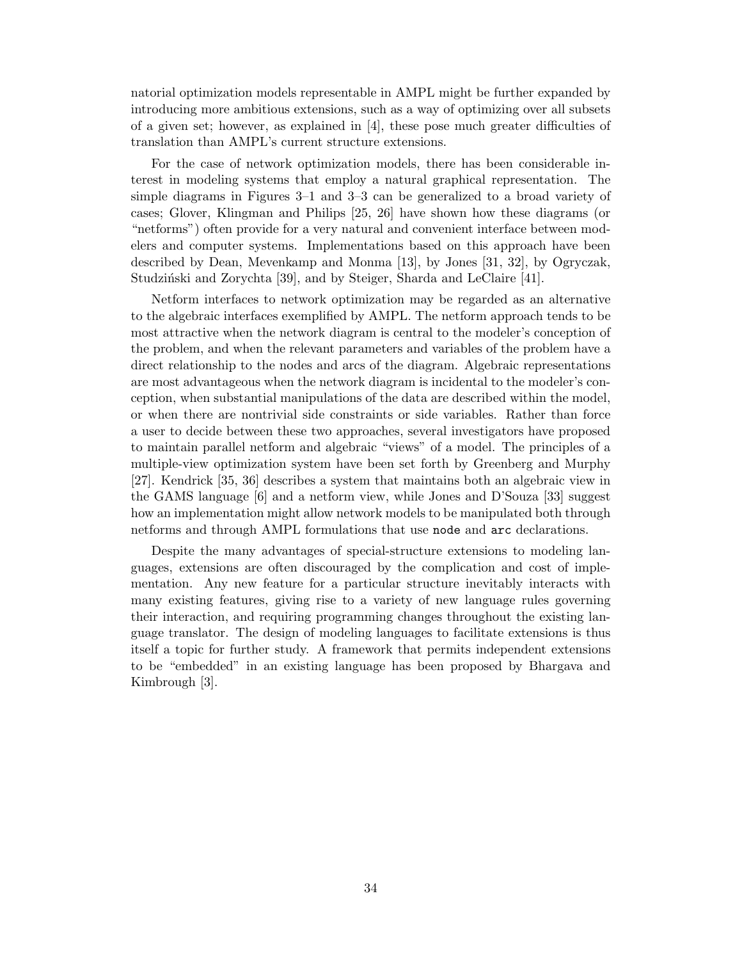natorial optimization models representable in AMPL might be further expanded by introducing more ambitious extensions, such as a way of optimizing over all subsets of a given set; however, as explained in [4], these pose much greater difficulties of translation than AMPL's current structure extensions.

For the case of network optimization models, there has been considerable interest in modeling systems that employ a natural graphical representation. The simple diagrams in Figures 3–1 and 3–3 can be generalized to a broad variety of cases; Glover, Klingman and Philips [25, 26] have shown how these diagrams (or "netforms") often provide for a very natural and convenient interface between modelers and computer systems. Implementations based on this approach have been described by Dean, Mevenkamp and Monma [13], by Jones [31, 32], by Ogryczak, Studziński and Zorychta [39], and by Steiger, Sharda and LeClaire [41].

Netform interfaces to network optimization may be regarded as an alternative to the algebraic interfaces exemplified by AMPL. The netform approach tends to be most attractive when the network diagram is central to the modeler's conception of the problem, and when the relevant parameters and variables of the problem have a direct relationship to the nodes and arcs of the diagram. Algebraic representations are most advantageous when the network diagram is incidental to the modeler's conception, when substantial manipulations of the data are described within the model, or when there are nontrivial side constraints or side variables. Rather than force a user to decide between these two approaches, several investigators have proposed to maintain parallel netform and algebraic "views" of a model. The principles of a multiple-view optimization system have been set forth by Greenberg and Murphy [27]. Kendrick [35, 36] describes a system that maintains both an algebraic view in the GAMS language [6] and a netform view, while Jones and D'Souza [33] suggest how an implementation might allow network models to be manipulated both through netforms and through AMPL formulations that use node and arc declarations.

Despite the many advantages of special-structure extensions to modeling languages, extensions are often discouraged by the complication and cost of implementation. Any new feature for a particular structure inevitably interacts with many existing features, giving rise to a variety of new language rules governing their interaction, and requiring programming changes throughout the existing language translator. The design of modeling languages to facilitate extensions is thus itself a topic for further study. A framework that permits independent extensions to be "embedded" in an existing language has been proposed by Bhargava and Kimbrough [3].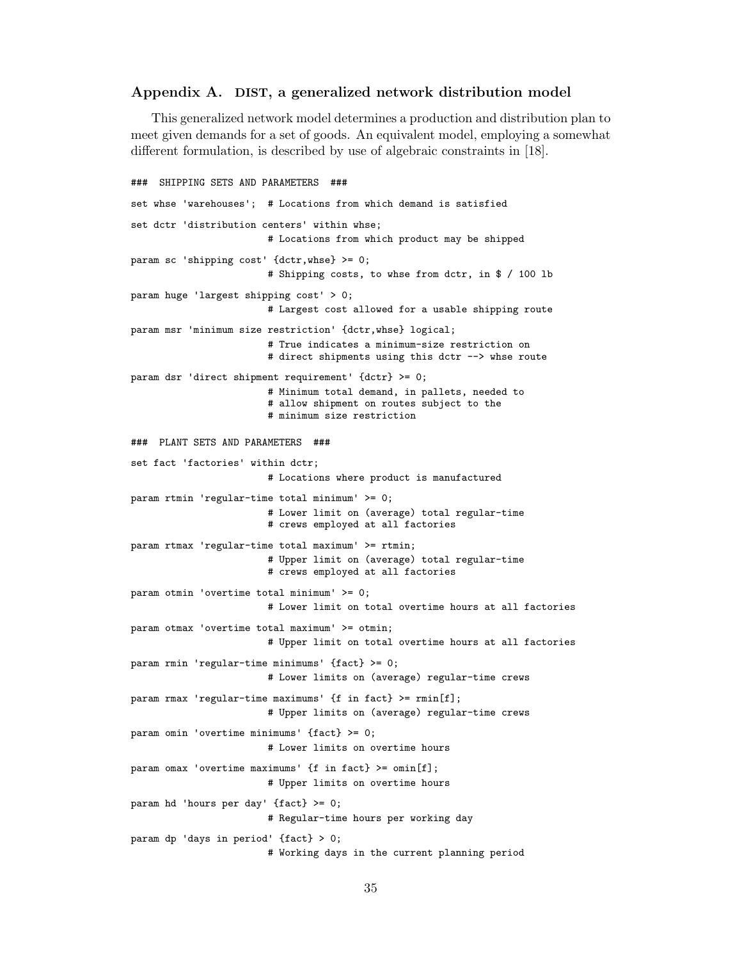### **Appendix A. DIST, a generalized network distribution model**

This generalized network model determines a production and distribution plan to meet given demands for a set of goods. An equivalent model, employing a somewhat different formulation, is described by use of algebraic constraints in [18].

```
### SHIPPING SETS AND PARAMETERS ###
set whse 'warehouses'; # Locations from which demand is satisfied
set dctr 'distribution centers' within whse;
                        # Locations from which product may be shipped
param sc 'shipping cost' {dctr,whse} >= 0;
                        # Shipping costs, to whse from dctr, in $ / 100 lb
param huge 'largest shipping cost' > 0;
                        # Largest cost allowed for a usable shipping route
param msr 'minimum size restriction' {dctr,whse} logical;
                        # True indicates a minimum-size restriction on
                        # direct shipments using this dctr --> whse route
param dsr 'direct shipment requirement' {dctr} >= 0;
                        # Minimum total demand, in pallets, needed to
                        # allow shipment on routes subject to the
                        # minimum size restriction
### PLANT SETS AND PARAMETERS ###
set fact 'factories' within dctr;
                        # Locations where product is manufactured
param rtmin 'regular-time total minimum' >= 0;
                        # Lower limit on (average) total regular-time
                        # crews employed at all factories
param rtmax 'regular-time total maximum' >= rtmin;
                        # Upper limit on (average) total regular-time
                        # crews employed at all factories
param otmin 'overtime total minimum' >= 0;
                        # Lower limit on total overtime hours at all factories
param otmax 'overtime total maximum' >= otmin;
                        # Upper limit on total overtime hours at all factories
param rmin 'regular-time minimums' {fact} >= 0;
                        # Lower limits on (average) regular-time crews
param rmax 'regular-time maximums' {f in fact} >= rmin[f];
                        # Upper limits on (average) regular-time crews
param omin 'overtime minimums' {fact} >= 0;
                        # Lower limits on overtime hours
param omax 'overtime maximums' {f in fact} >= omin[f];
                        # Upper limits on overtime hours
param hd 'hours per day' {fact} >= 0;
                        # Regular-time hours per working day
param dp 'days in period' {fact} > 0;
                        # Working days in the current planning period
```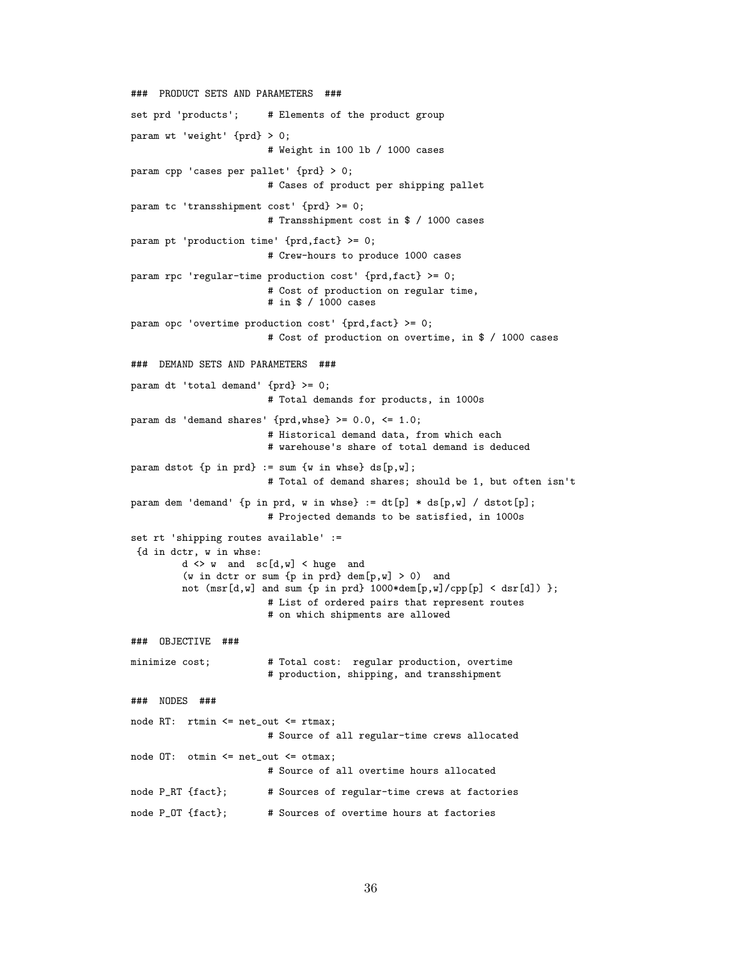```
### PRODUCT SETS AND PARAMETERS ###
set prd 'products'; # Elements of the product group
param wt 'weight' {prd} > 0;
                        # Weight in 100 lb / 1000 cases
param cpp 'cases per pallet' {prd} > 0;
                        # Cases of product per shipping pallet
param tc 'transshipment cost' {prd} >= 0;
                        # Transshipment cost in $ / 1000 cases
param pt 'production time' {prd,fact} >= 0;
                        # Crew-hours to produce 1000 cases
param rpc 'regular-time production cost' {prd,fact} >= 0;
                        # Cost of production on regular time,
                        # in $ / 1000 cases
param opc 'overtime production cost' {prd,fact} >= 0;
                        # Cost of production on overtime, in $ / 1000 cases
### DEMAND SETS AND PARAMETERS ###
param dt 'total demand' {prd} >= 0;
                        # Total demands for products, in 1000s
param ds 'demand shares' {prd,whse} >= 0.0, <= 1.0;
                        # Historical demand data, from which each
                        # warehouse's share of total demand is deduced
param dstot \{p \text{ in } prd\} := sum \{w \text{ in } whse\} ds[p,w];
                        # Total of demand shares; should be 1, but often isn't
param dem 'demand' {p in prd, w in whse} := dt[p] * ds[p,w] / dstot[p];
                        # Projected demands to be satisfied, in 1000s
set rt 'shipping routes available' :=
 {d in dctr, w in whse:
         d <> w and sc[d,w] < huge and
         (w in dctr or sum {p in prd} dem[p,w] > 0) and
         not (msr[d,w] and sum {p in prd} 1000*dem[p,w]/cpp[p] < dsr[d]) };
                        # List of ordered pairs that represent routes
                        # on which shipments are allowed
### OBJECTIVE ###
minimize cost; # Total cost: regular production, overtime
                        # production, shipping, and transshipment
### NODES ###
node RT: rtmin <= net_out <= rtmax;
                        # Source of all regular-time crews allocated
node OT: otmin <= net_out <= otmax;
                        # Source of all overtime hours allocated
node P_RT {fact}; # Sources of regular-time crews at factories
node P_OT {fact}; # Sources of overtime hours at factories
```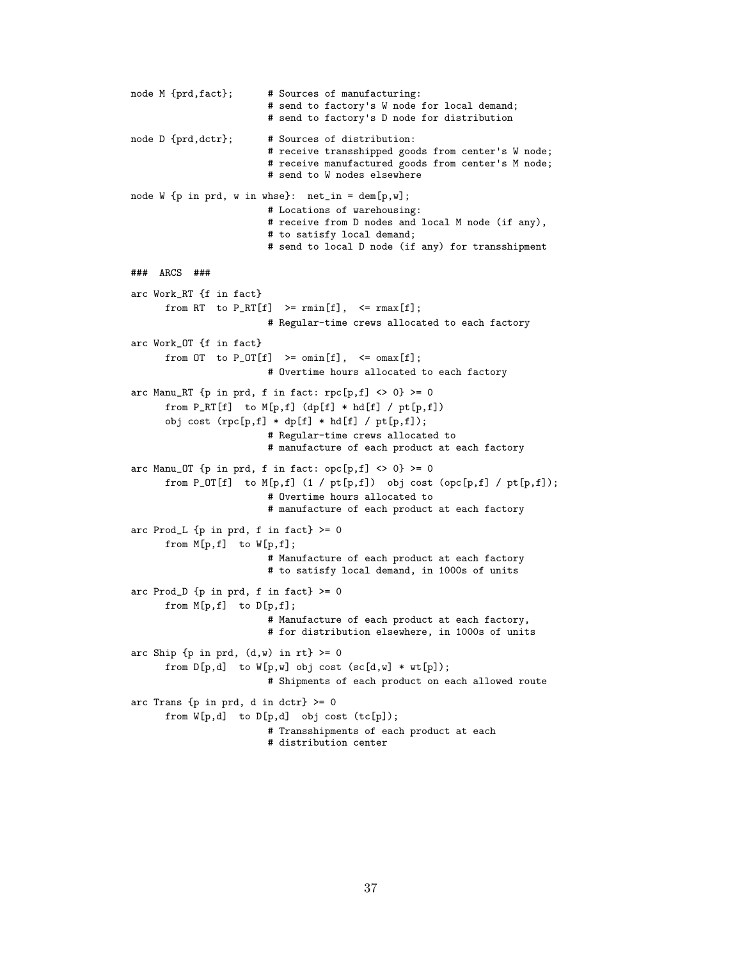```
node M {prd,fact}; # Sources of manufacturing:
                         # send to factory's W node for local demand;
                         # send to factory's D node for distribution
node D {prd,dctr}; # Sources of distribution:
                         # receive transshipped goods from center's W node;
                         # receive manufactured goods from center's M node;
                         # send to W nodes elsewhere
node W {p in prd, w in whse}: net_in = dem[p,w];# Locations of warehousing:
                         # receive from D nodes and local M node (if any),
                         # to satisfy local demand;
                         # send to local D node (if any) for transshipment
### ARCS ###
arc Work_RT {f in fact}
      from RT to P_RT[f] >= rmin[f], <= rmax[f];
                         # Regular-time crews allocated to each factory
arc Work_OT {f in fact}
      from OT to P_OT[f] >= omin[f], <= oman[f];
                         # Overtime hours allocated to each factory
arc Manu_RT \{p \text{ in } prd, f \text{ in } fact: rpc[p, f] \Leftrightarrow 0\} \ge 0from P_RT[f] to M[p,f] (dp[f] * hd[f] / pt[p,f])
      obj cost (rpc[p,f] * dp[f] * hd[f] / pt[p,f]);# Regular-time crews allocated to
                         # manufacture of each product at each factory
arc Manu_OT \{p \text{ in } prd, f \text{ in } fact: opc[p,f] \Leftrightarrow 0\} \ge 0from P_OT[f] to M[p,f] (1 / pt[p,f]) obj cost (opc[p,f] / pt[p,f]);
                         # Overtime hours allocated to
                         # manufacture of each product at each factory
arc Prod_L \{p \text{ in } prd, f \text{ in } fact\} \geq 0from M[p,f] to W[p,f];
                         # Manufacture of each product at each factory
                         # to satisfy local demand, in 1000s of units
arc Prod_D \{p in prd, f in fact} >= 0
      from M[p,f] to D[p,f];
                         # Manufacture of each product at each factory,
                         # for distribution elsewhere, in 1000s of units
arc Ship {p \text{ in } prd, (d,w) \text{ in } rt} > = 0from D[p,d] to W[p,w] obj cost (sc[d,w] * wt[p]);
                         # Shipments of each product on each allowed route
arc Trans \{p in prd, d in dctr} >= 0
      from W[p,d] to D[p,d] obj cost (tc[p]);
                         # Transshipments of each product at each
                         # distribution center
```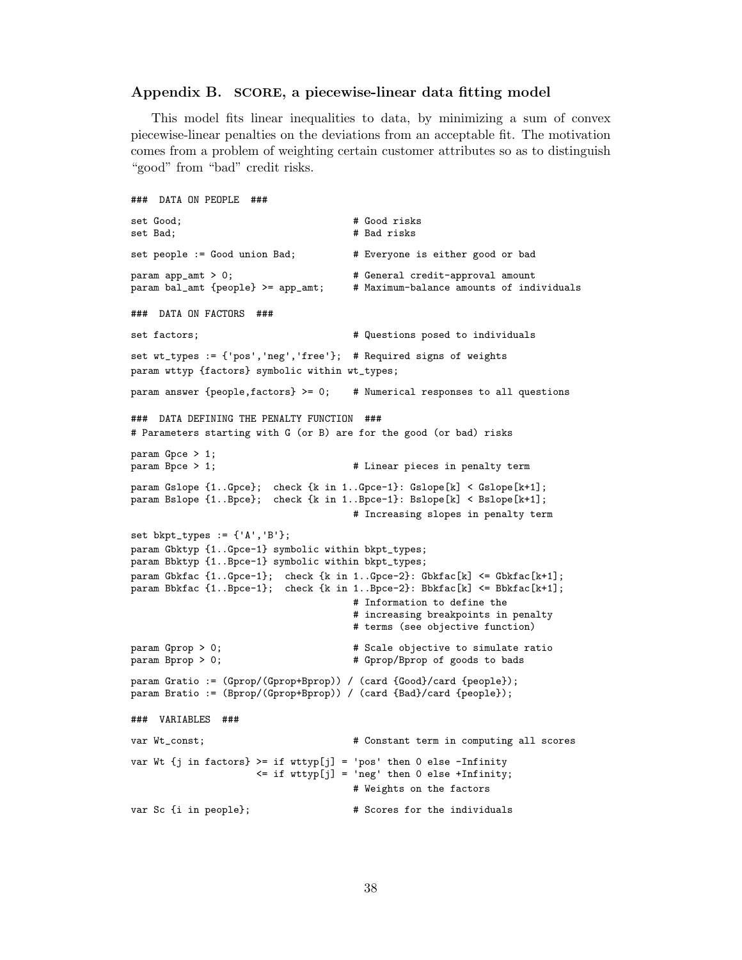### **Appendix B. SCORE, a piecewise-linear data fitting model**

This model fits linear inequalities to data, by minimizing a sum of convex piecewise-linear penalties on the deviations from an acceptable fit. The motivation comes from a problem of weighting certain customer attributes so as to distinguish "good" from "bad" credit risks.

```
### DATA ON PEOPLE ###
set Good; <br>set Bad; <br># Bad risks # Bad risks
                                       # Bad risks
set people := Good union Bad; # Everyone is either good or bad
param app_amt > 0; \qquad \qquad \qquad # General credit-approval amount
param bal_amt {people} >= app_amt; # Maximum-balance amounts of individuals
### DATA ON FACTORS ###
set factors; # Questions posed to individuals
set wt_types := {'pos','neg','free'}; # Required signs of weights
param wttyp {factors} symbolic within wt_types;
param answer {people, factors} > = 0; # Numerical responses to all questions
### DATA DEFINING THE PENALTY FUNCTION ###
# Parameters starting with G (or B) are for the good (or bad) risks
param Gpce > 1;<br>param Bpce > 1;
                                       # Linear pieces in penalty term
param Gslope {1..Gpce}; check {k in 1..Gpce-1}: Gslope[k] < Gslope[k+1];
param Bslope {1..Bpce}; check {k in 1..Bpce-1}: Bslope[k] < Bslope[k+1];
                                      # Increasing slopes in penalty term
set bkpt_types := {'A','B'};
param Gbktyp {1..Gpce-1} symbolic within bkpt_types;
param Bbktyp {1..Bpce-1} symbolic within bkpt_types;
param Gbkfac {1..Gpce-1}; check {k in 1..Gpce-2}: Gbkfac[k] <= Gbkfac[k+1];
param Bbkfac {1..Bpce-1}; check {k in 1..Bpce-2}: Bbkfac[k] <= Bbkfac[k+1];
                                       # Information to define the
                                       # increasing breakpoints in penalty
                                       # terms (see objective function)
param Gprop > 0; \qquad \qquad \qquad # Scale objective to simulate ratio
param Bprop > 0; <br> # Gprop/Bprop of goods to bads
param Gratio := (Gprop/(Gprop+Bprop)) / (card {Good}/card {people});
param Bratio := (Bprop/(Gprop+Bprop)) / (card {Bad}/card {people});
### VARIABLES ###
var Wt_const; \qquad \qquad \qquad \qquad \qquad \qquad \qquad \qquad \text{Constant term in computing all scores}var Wt \{j \text{ in factors}\} >= if wttyp[j] = 'pos' then 0 else -Infinity
                      <= if wttyp[j] = 'neg' then 0 else +Infinity;
                                      # Weights on the factors
var Sc {i in people}; \qquad # Scores for the individuals
```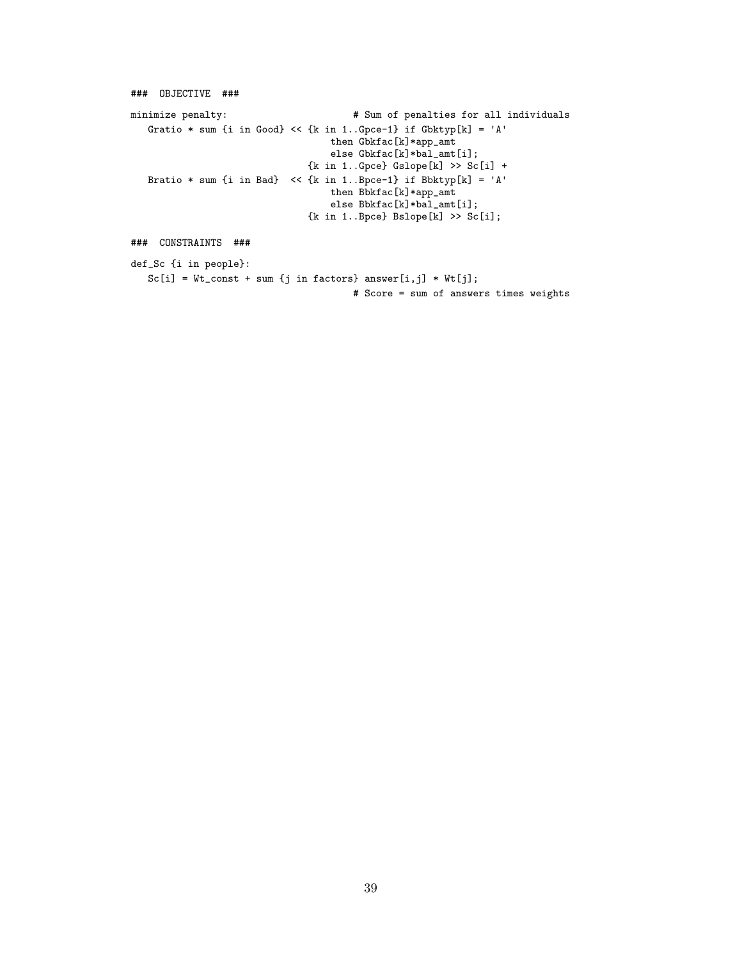```
### OBJECTIVE ###
minimize penalty: # Sum of penalties for all individuals
   Gratio * sum {i in Good} << {k in 1..Gpce-1} if Gbktyp[k] = 'A'
                                    then Gbkfac[k]*app_amt
                                    else Gbkfac[k]*bal_amt[i];
                                {k in 1..Gpce} Gslope[k] >> Sc[i] +
   Bratio * sum {i in Bad} << {k in 1..Bpce-1} if Bbktyp[k] = 'A'
                                    then Bbkfac[k]*app_amt
                                    else Bbkfac[k]*bal_amt[i];
                                \{k \text{ in } 1..\texttt{Bpce}\}Bslope[k] >> Sc[i];
### CONSTRAINTS ###
def_Sc {i in people}:
   \verb|Sc[i] = Wt\_const + sum \{j \text{ in factors}\} \text{ answer}[i,j] * Wt[j];# Score = sum of answers times weights
```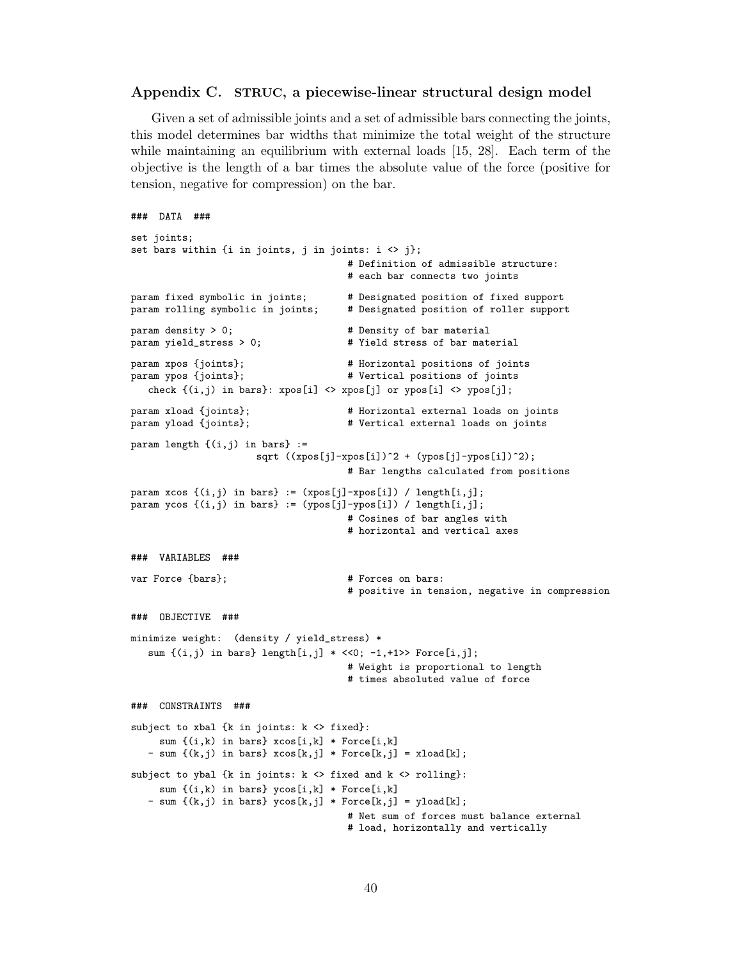### **Appendix C. STRUC, a piecewise-linear structural design model**

Given a set of admissible joints and a set of admissible bars connecting the joints, this model determines bar widths that minimize the total weight of the structure while maintaining an equilibrium with external loads [15, 28]. Each term of the objective is the length of a bar times the absolute value of the force (positive for tension, negative for compression) on the bar.

```
### DATA ###
set joints;
set bars within {i in joints, j in joints: i \leftrightarrow j};
                                      # Definition of admissible structure:
                                      # each bar connects two joints
param fixed symbolic in joints; # Designated position of fixed support
param rolling symbolic in joints; # Designated position of roller support
param density > 0;<br>
param yield_stress > 0;<br>
# Yield_stress of bar mate
                                      # Yield stress of bar material
param xpos {joints}; # Horizontal positions of joints
param ypos {joints}; # Vertical positions of joints
   check \{(i,j) in bars}: xpos[i] <> xpos[j] or ypos[i] <> ypos[j];
param xload {joints}; <br>param yload {joints}; <br># Vertical external loads on joints
                                      # Vertical external loads on joints
param length \{(i,j) in bars} :=
                      sqrt ((xpos[j]-xpos[i])^2 + (ypos[j]-ypos[i])^2);# Bar lengths calculated from positions
param xcos \{(i,j) in bars} := (xpos[j]-xpos[i]) / length[i,j];param ycos {(i,j) in bars} := (ypos[j]-ypos[i]) / length[i,j];
                                      # Cosines of bar angles with
                                      # horizontal and vertical axes
### VARIABLES ###
var Force {bars}; \qquad # Forces on bars:
                                      # positive in tension, negative in compression
### OBJECTIVE ###
minimize weight: (density / yield_stress) *
   sum \{(i,j) in bars} length[i,j] * <<0; -1,+1>> Force[i,j];
                                      # Weight is proportional to length
                                      # times absoluted value of force
### CONSTRAINTS ###
subject to xbal {k in joints: k <> fixed}:
     sum \{(i,k) in bars} xcos[i,k] * Force[i,k]- sum {(k,j) in bars} xcos[k,j] * Force[k,j] = xload[k];
subject to ybal {k in joints: k <> fixed and k <> rolling}:
     sum {(i,k) in bars} ycos[i,k] * Force[i,k]
   - sum \{(k,j) in bars} y\cos[k,j] * \text{Force}[k,j] = yload[k];# Net sum of forces must balance external
                                      # load, horizontally and vertically
```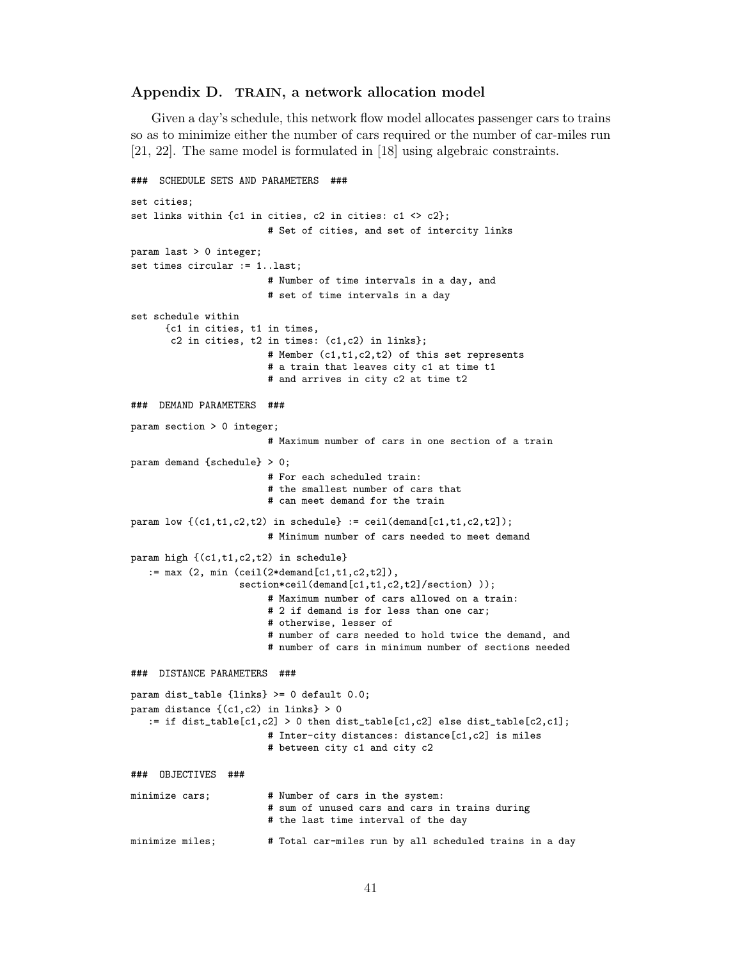### **Appendix D. TRAIN, a network allocation model**

Given a day's schedule, this network flow model allocates passenger cars to trains so as to minimize either the number of cars required or the number of car-miles run [21, 22]. The same model is formulated in [18] using algebraic constraints.

```
### SCHEDULE SETS AND PARAMETERS ###
set cities;
set links within {c1 in cities, c2 in cities: c1 <> c2};
                        # Set of cities, and set of intercity links
param last > 0 integer;
set times circular := 1..last;
                        # Number of time intervals in a day, and
                        # set of time intervals in a day
set schedule within
      {c1 in cities, t1 in times,
       c2 in cities, t2 in times: (c1,c2) in links};
                        # Member (c1,t1,c2,t2) of this set represents
                        # a train that leaves city c1 at time t1
                        # and arrives in city c2 at time t2
### DEMAND PARAMETERS ###
param section > 0 integer;
                        # Maximum number of cars in one section of a train
param demand {schedule} > 0;
                        # For each scheduled train:
                        # the smallest number of cars that
                        # can meet demand for the train
param low \{(c1,t1,c2,t2) in schedule} := ceil(demand[c1,t1,c2,t2]);
                        # Minimum number of cars needed to meet demand
param high {(c1,t1,c2,t2) in schedule}
   := max (2, min (ceil(2*demand[c1,t1,c2,t2]),
                   section*ceil(demand[c1,t1,c2,t2]/section));
                        # Maximum number of cars allowed on a train:
                        # 2 if demand is for less than one car;
                        # otherwise, lesser of
                        # number of cars needed to hold twice the demand, and
                        # number of cars in minimum number of sections needed
### DISTANCE PARAMETERS ###
param dist_table {links} >= 0 default 0.0;
param distance \{(c1, c2) in links} > 0
   := if dist_table[c1,c2] > 0 then dist_table[c1,c2] else dist_table[c2,c1];
                        # Inter-city distances: distance[c1,c2] is miles
                        # between city c1 and city c2
### OBJECTIVES ###
minimize cars; \qquad # Number of cars in the system:
                        # sum of unused cars and cars in trains during
                        # the last time interval of the day
minimize miles; # Total car-miles run by all scheduled trains in a day
```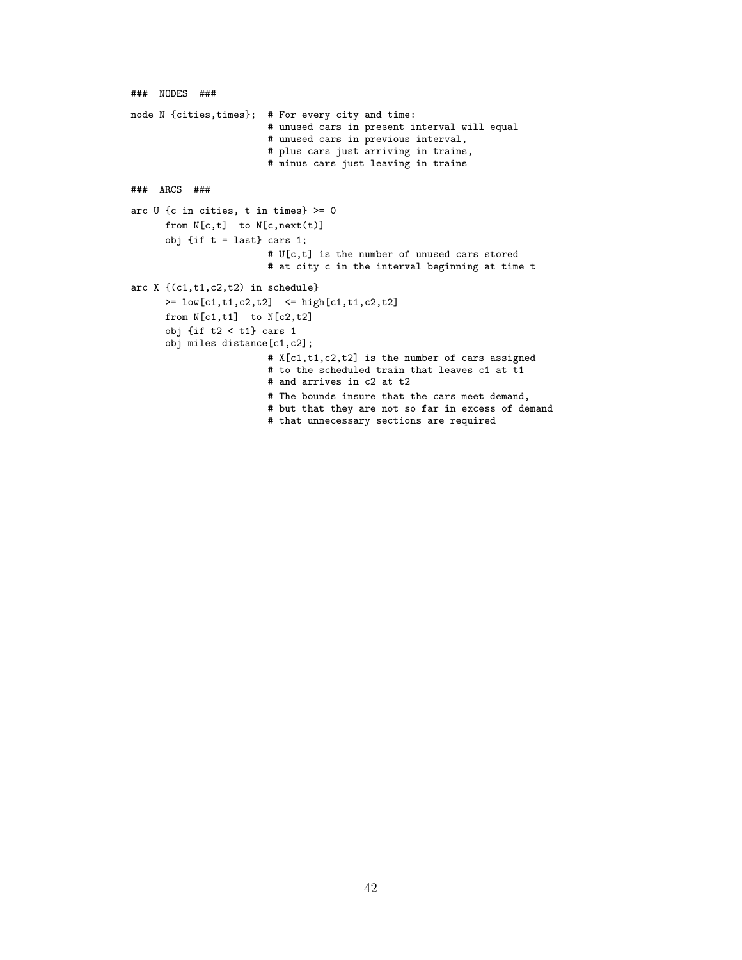```
### NODES ###
node N {cities,times}; # For every city and time:
                        # unused cars in present interval will equal
                        # unused cars in previous interval,
                        # plus cars just arriving in trains,
                        # minus cars just leaving in trains
### ARCS ###
arc U {c in cities, t in times} >= 0
     from N[c, t] to N[c, next(t)]obj {if t = last} cars 1;
                        # U[c,t] is the number of unused cars stored
                        # at city c in the interval beginning at time t
arc X {(c1,t1,c2,t2) in schedule}
      >= low[c1,t1,c2,t2] <= high[c1,t1,c2,t2]
     from N[c1,t1] to N[c2,t2]
      obj {if t2 < t1} cars 1
      obj miles distance[c1,c2];
                        # X[c1,t1,c2,t2] is the number of cars assigned
                        # to the scheduled train that leaves c1 at t1
                        # and arrives in c2 at t2
                        # The bounds insure that the cars meet demand,
                        # but that they are not so far in excess of demand
                        # that unnecessary sections are required
```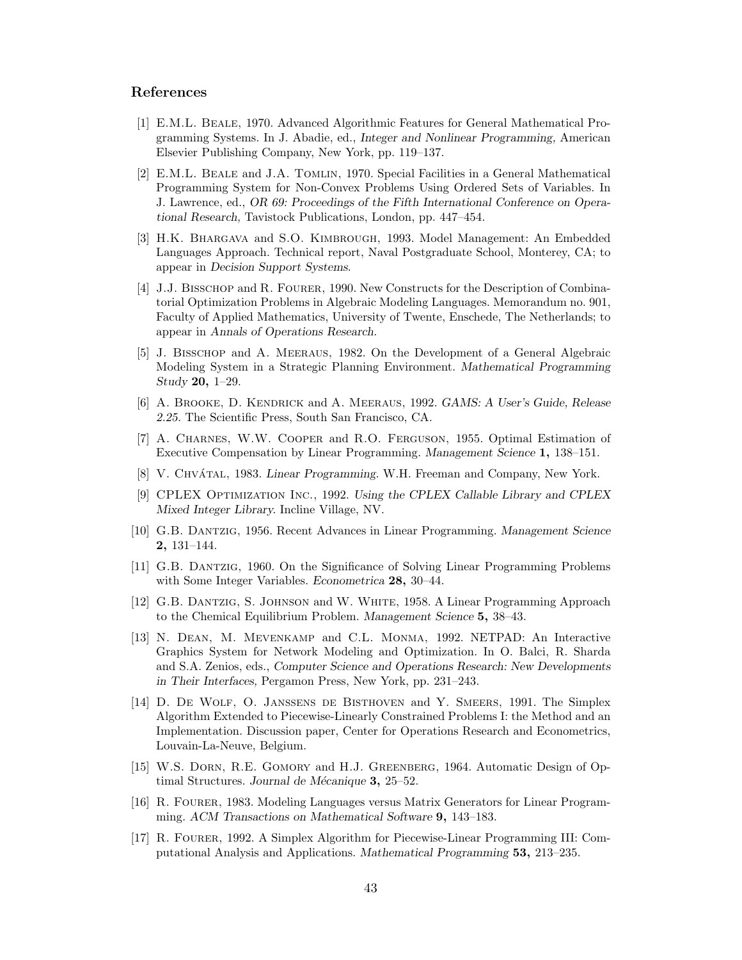# **References**

- [1] E.M.L. Beale, 1970. Advanced Algorithmic Features for General Mathematical Programming Systems. In J. Abadie, ed., *Integer and Nonlinear Programming,* American Elsevier Publishing Company, New York, pp. 119–137.
- [2] E.M.L. Beale and J.A. Tomlin, 1970. Special Facilities in a General Mathematical Programming System for Non-Convex Problems Using Ordered Sets of Variables. In J. Lawrence, ed., *OR 69: Proceedings of the Fifth International Conference on Operational Research,* Tavistock Publications, London, pp. 447–454.
- [3] H.K. Bhargava and S.O. Kimbrough, 1993. Model Management: An Embedded Languages Approach. Technical report, Naval Postgraduate School, Monterey, CA; to appear in *Decision Support Systems.*
- [4] J.J. BISSCHOP and R. FOURER, 1990. New Constructs for the Description of Combinatorial Optimization Problems in Algebraic Modeling Languages. Memorandum no. 901, Faculty of Applied Mathematics, University of Twente, Enschede, The Netherlands; to appear in *Annals of Operations Research.*
- [5] J. Bisschop and A. Meeraus, 1982. On the Development of a General Algebraic Modeling System in a Strategic Planning Environment. *Mathematical Programming Study* **20,** 1–29.
- [6] A. Brooke, D. Kendrick and A. Meeraus, 1992. *GAMS: A User's Guide, Release 2.25.* The Scientific Press, South San Francisco, CA.
- [7] A. Charnes, W.W. Cooper and R.O. Ferguson, 1955. Optimal Estimation of Executive Compensation by Linear Programming. *Management Science* **1,** 138–151.
- [8] V. CHVÁTAL, 1983. *Linear Programming.* W.H. Freeman and Company, New York.
- [9] CPLEX Optimization Inc., 1992. *Using the CPLEX Callable Library and CPLEX Mixed Integer Library.* Incline Village, NV.
- [10] G.B. Dantzig, 1956. Recent Advances in Linear Programming. *Management Science* **2,** 131–144.
- [11] G.B. Dantzig, 1960. On the Significance of Solving Linear Programming Problems with Some Integer Variables. *Econometrica* **28,** 30–44.
- [12] G.B. Dantzig, S. Johnson and W. White, 1958. A Linear Programming Approach to the Chemical Equilibrium Problem. *Management Science* **5,** 38–43.
- [13] N. Dean, M. Mevenkamp and C.L. Monma, 1992. NETPAD: An Interactive Graphics System for Network Modeling and Optimization. In O. Balci, R. Sharda and S.A. Zenios, eds., *Computer Science and Operations Research: New Developments in Their Interfaces,* Pergamon Press, New York, pp. 231–243.
- [14] D. De Wolf, O. Janssens de Bisthoven and Y. Smeers, 1991. The Simplex Algorithm Extended to Piecewise-Linearly Constrained Problems I: the Method and an Implementation. Discussion paper, Center for Operations Research and Econometrics, Louvain-La-Neuve, Belgium.
- [15] W.S. Dorn, R.E. Gomory and H.J. Greenberg, 1964. Automatic Design of Optimal Structures. *Journal de Mécanique* **3**, 25–52.
- [16] R. Fourer, 1983. Modeling Languages versus Matrix Generators for Linear Programming. *ACM Transactions on Mathematical Software* **9,** 143–183.
- [17] R. Fourer, 1992. A Simplex Algorithm for Piecewise-Linear Programming III: Computational Analysis and Applications. *Mathematical Programming* **53,** 213–235.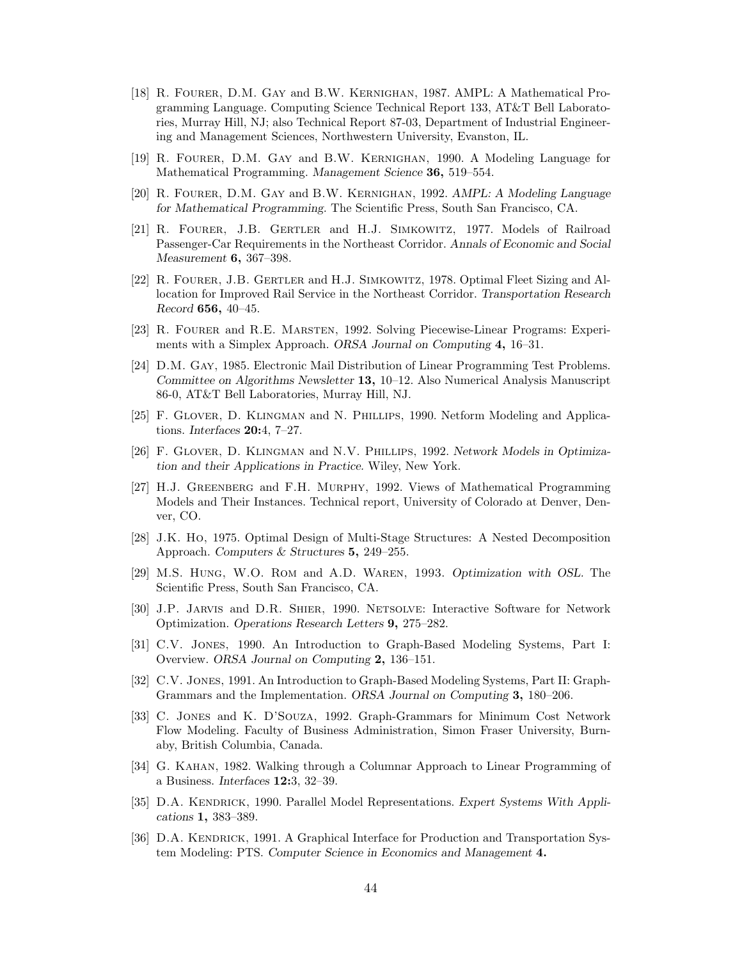- [18] R. Fourer, D.M. Gay and B.W. Kernighan, 1987. AMPL: A Mathematical Programming Language. Computing Science Technical Report 133, AT&T Bell Laboratories, Murray Hill, NJ; also Technical Report 87-03, Department of Industrial Engineering and Management Sciences, Northwestern University, Evanston, IL.
- [19] R. Fourer, D.M. Gay and B.W. Kernighan, 1990. A Modeling Language for Mathematical Programming. *Management Science* **36,** 519–554.
- [20] R. Fourer, D.M. Gay and B.W. Kernighan, 1992. *AMPL: A Modeling Language for Mathematical Programming.* The Scientific Press, South San Francisco, CA.
- [21] R. Fourer, J.B. Gertler and H.J. Simkowitz, 1977. Models of Railroad Passenger-Car Requirements in the Northeast Corridor. *Annals of Economic and Social Measurement* **6,** 367–398.
- [22] R. Fourer, J.B. Gertler and H.J. Simkowitz, 1978. Optimal Fleet Sizing and Allocation for Improved Rail Service in the Northeast Corridor. *Transportation Research Record* **656,** 40–45.
- [23] R. Fourer and R.E. Marsten, 1992. Solving Piecewise-Linear Programs: Experiments with a Simplex Approach. *ORSA Journal on Computing* **4,** 16–31.
- [24] D.M. Gay, 1985. Electronic Mail Distribution of Linear Programming Test Problems. *Committee on Algorithms Newsletter* **13,** 10–12. Also Numerical Analysis Manuscript 86-0, AT&T Bell Laboratories, Murray Hill, NJ.
- [25] F. Glover, D. Klingman and N. Phillips, 1990. Netform Modeling and Applications. *Interfaces* **20:**4, 7–27.
- [26] F. Glover, D. Klingman and N.V. Phillips, 1992. *Network Models in Optimization and their Applications in Practice.* Wiley, New York.
- [27] H.J. Greenberg and F.H. Murphy, 1992. Views of Mathematical Programming Models and Their Instances. Technical report, University of Colorado at Denver, Denver, CO.
- [28] J.K. Ho, 1975. Optimal Design of Multi-Stage Structures: A Nested Decomposition Approach. *Computers & Structures* **5,** 249–255.
- [29] M.S. Hung, W.O. Rom and A.D. Waren, 1993. *Optimization with OSL.* The Scientific Press, South San Francisco, CA.
- [30] J.P. Jarvis and D.R. Shier, 1990. Netsolve: Interactive Software for Network Optimization. *Operations Research Letters* **9,** 275–282.
- [31] C.V. Jones, 1990. An Introduction to Graph-Based Modeling Systems, Part I: Overview. *ORSA Journal on Computing* **2,** 136–151.
- [32] C.V. Jones, 1991. An Introduction to Graph-Based Modeling Systems, Part II: Graph-Grammars and the Implementation. *ORSA Journal on Computing* **3,** 180–206.
- [33] C. Jones and K. D'Souza, 1992. Graph-Grammars for Minimum Cost Network Flow Modeling. Faculty of Business Administration, Simon Fraser University, Burnaby, British Columbia, Canada.
- [34] G. Kahan, 1982. Walking through a Columnar Approach to Linear Programming of a Business. *Interfaces* **12:**3, 32–39.
- [35] D.A. KENDRICK, 1990. Parallel Model Representations. *Expert Systems With Applications* **1,** 383–389.
- [36] D.A. KENDRICK, 1991. A Graphical Interface for Production and Transportation System Modeling: PTS. *Computer Science in Economics and Management* **4.**